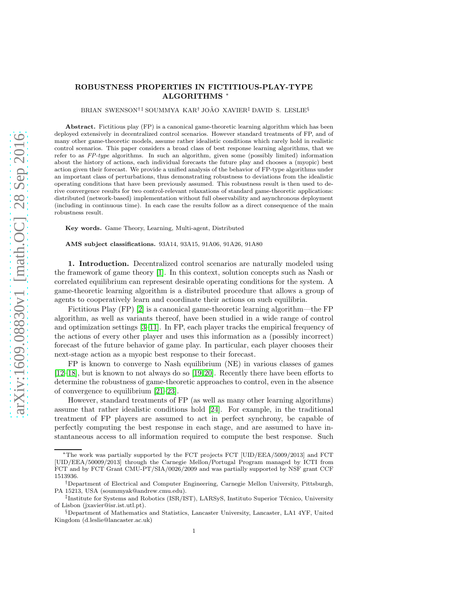# arXiv:1609.08830v1 [math.OC] 28 Sep 2016 [arXiv:1609.08830v1 \[math.OC\] 28 Sep 2016](http://arxiv.org/abs/1609.08830v1)

# ROBUSTNESS PROPERTIES IN FICTITIOUS-PLAY-TYPE ALGORITHMS <sup>∗</sup>

BRIAN SWENSON<sup>†‡</sup> SOUMMYA KAR<sup>†</sup> JOÃO XAVIER<sup>‡</sup> DAVID S. LESLIE<sup>§</sup>

Abstract. Fictitious play (FP) is a canonical game-theoretic learning algorithm which has been deployed extensively in decentralized control scenarios. However standard treatments of FP, and of many other game-theoretic models, assume rather idealistic conditions which rarely hold in realistic control scenarios. This paper considers a broad class of best response learning algorithms, that we refer to as *FP-type* algorithms. In such an algorithm, given some (possibly limited) information about the history of actions, each individual forecasts the future play and chooses a (myopic) best action given their forecast. We provide a unified analysis of the behavior of FP-type algorithms under an important class of perturbations, thus demonstrating robustness to deviations from the idealistic operating conditions that have been previously assumed. This robustness result is then used to derive convergence results for two control-relevant relaxations of standard game-theoretic applications: distributed (network-based) implementation without full observability and asynchronous deployment (including in continuous time). In each case the results follow as a direct consequence of the main robustness result.

Key words. Game Theory, Learning, Multi-agent, Distributed

AMS subject classifications. 93A14, 93A15, 91A06, 91A26, 91A80

1. Introduction. Decentralized control scenarios are naturally modeled using the framework of game theory [\[1\]](#page-18-0). In this context, solution concepts such as Nash or correlated equilibrium can represent desirable operating conditions for the system. A game-theoretic learning algorithm is a distributed procedure that allows a group of agents to cooperatively learn and coordinate their actions on such equilibria.

Fictitious Play (FP) [\[2\]](#page-18-1) is a canonical game-theoretic learning algorithm—the FP algorithm, as well as variants thereof, have been studied in a wide range of control and optimization settings [\[3–](#page-18-2)[11\]](#page-18-3). In FP, each player tracks the empirical frequency of the actions of every other player and uses this information as a (possibly incorrect) forecast of the future behavior of game play. In particular, each player chooses their next-stage action as a myopic best response to their forecast.

FP is known to converge to Nash equilibrium (NE) in various classes of games [\[12–](#page-18-4)[18\]](#page-19-0), but is known to not always do so [\[19,](#page-19-1) [20\]](#page-19-2). Recently there have been efforts to determine the robustness of game-theoretic approaches to control, even in the absence of convergence to equilibrium [\[21](#page-19-3)[–23\]](#page-19-4).

However, standard treatments of FP (as well as many other learning algorithms) assume that rather idealistic conditions hold [\[24\]](#page-19-5). For example, in the traditional treatment of FP players are assumed to act in perfect synchrony, be capable of perfectly computing the best response in each stage, and are assumed to have instantaneous access to all information required to compute the best response. Such

<sup>∗</sup>The work was partially supported by the FCT projects FCT [UID/EEA/5009/2013] and FCT [UID/EEA/50009/2013] through the Carnegie Mellon/Portugal Program managed by ICTI from FCT and by FCT Grant CMU-PT/SIA/0026/2009 and was partially supported by NSF grant CCF 1513936.

<sup>†</sup>Department of Electrical and Computer Engineering, Carnegie Mellon University, Pittsburgh, PA 15213, USA (soummyak@andrew.cmu.edu).

 $^{\ddagger}$ Institute for Systems and Robotics (ISR/IST), LARSyS, Instituto Superior Técnico, University of Lisbon (jxavier@isr.ist.utl.pt).

<sup>§</sup>Department of Mathematics and Statistics, Lancaster University, Lancaster, LA1 4YF, United Kingdom (d.leslie@lancaster.ac.uk)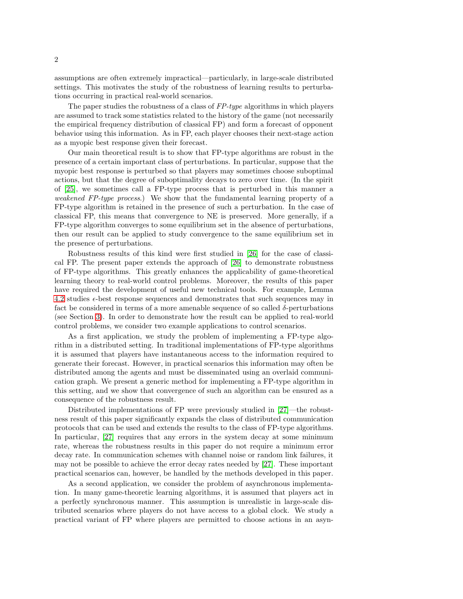assumptions are often extremely impractical—particularly, in large-scale distributed settings. This motivates the study of the robustness of learning results to perturbations occurring in practical real-world scenarios.

The paper studies the robustness of a class of  $FP-type$  algorithms in which players are assumed to track some statistics related to the history of the game (not necessarily the empirical frequency distribution of classical FP) and form a forecast of opponent behavior using this information. As in FP, each player chooses their next-stage action as a myopic best response given their forecast.

Our main theoretical result is to show that FP-type algorithms are robust in the presence of a certain important class of perturbations. In particular, suppose that the myopic best response is perturbed so that players may sometimes choose suboptimal actions, but that the degree of suboptimality decays to zero over time. (In the spirit of [\[25\]](#page-19-6), we sometimes call a FP-type process that is perturbed in this manner a weakened FP-type process.) We show that the fundamental learning property of a FP-type algorithm is retained in the presence of such a perturbation. In the case of classical FP, this means that convergence to NE is preserved. More generally, if a FP-type algorithm converges to some equilibrium set in the absence of perturbations, then our result can be applied to study convergence to the same equilibrium set in the presence of perturbations.

Robustness results of this kind were first studied in [\[26\]](#page-19-7) for the case of classical FP. The present paper extends the approach of [\[26\]](#page-19-7) to demonstrate robustness of FP-type algorithms. This greatly enhances the applicability of game-theoretical learning theory to real-world control problems. Moreover, the results of this paper have required the development of useful new technical tools. For example, Lemma [4.2](#page-7-0) studies  $\epsilon$ -best response sequences and demonstrates that such sequences may in fact be considered in terms of a more amenable sequence of so called  $\delta$ -perturbations (see Section [3\)](#page-3-0). In order to demonstrate how the result can be applied to real-world control problems, we consider two example applications to control scenarios.

As a first application, we study the problem of implementing a FP-type algorithm in a distributed setting. In traditional implementations of FP-type algorithms it is assumed that players have instantaneous access to the information required to generate their forecast. However, in practical scenarios this information may often be distributed among the agents and must be disseminated using an overlaid communication graph. We present a generic method for implementing a FP-type algorithm in this setting, and we show that convergence of such an algorithm can be ensured as a consequence of the robustness result.

Distributed implementations of FP were previously studied in [\[27\]](#page-19-8)—the robustness result of this paper significantly expands the class of distributed communication protocols that can be used and extends the results to the class of FP-type algorithms. In particular, [\[27\]](#page-19-8) requires that any errors in the system decay at some minimum rate, whereas the robustness results in this paper do not require a minimum error decay rate. In communication schemes with channel noise or random link failures, it may not be possible to achieve the error decay rates needed by [\[27\]](#page-19-8). These important practical scenarios can, however, be handled by the methods developed in this paper.

As a second application, we consider the problem of asynchronous implementation. In many game-theoretic learning algorithms, it is assumed that players act in a perfectly synchronous manner. This assumption is unrealistic in large-scale distributed scenarios where players do not have access to a global clock. We study a practical variant of FP where players are permitted to choose actions in an asyn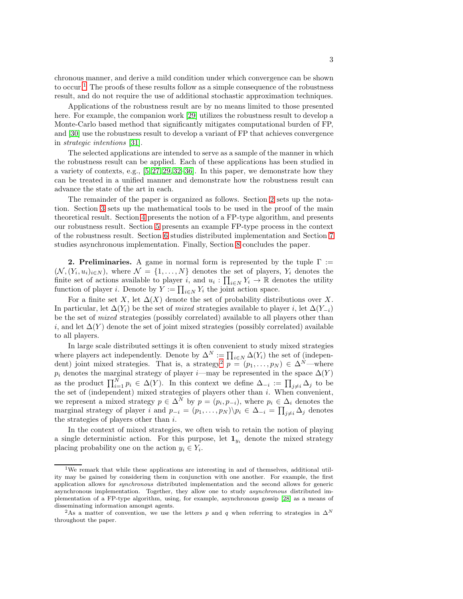chronous manner, and derive a mild condition under which convergence can be shown to occur.<sup>[1](#page-2-0)</sup> The proofs of these results follow as a simple consequence of the robustness result, and do not require the use of additional stochastic approximation techniques.

Applications of the robustness result are by no means limited to those presented here. For example, the companion work [\[29\]](#page-19-9) utilizes the robustness result to develop a Monte-Carlo based method that significantly mitigates computational burden of FP, and [\[30\]](#page-19-10) use the robustness result to develop a variant of FP that achieves convergence in strategic intentions [\[31\]](#page-19-11).

The selected applications are intended to serve as a sample of the manner in which the robustness result can be applied. Each of these applications has been studied in a variety of contexts, e.g.,  $[5, 27, 29, 32-36]$  $[5, 27, 29, 32-36]$  $[5, 27, 29, 32-36]$  $[5, 27, 29, 32-36]$  $[5, 27, 29, 32-36]$ . In this paper, we demonstrate how they can be treated in a unified manner and demonstrate how the robustness result can advance the state of the art in each.

The remainder of the paper is organized as follows. Section [2](#page-2-1) sets up the notation. Section [3](#page-3-0) sets up the mathematical tools to be used in the proof of the main theoretical result. Section [4](#page-5-0) presents the notion of a FP-type algorithm, and presents our robustness result. Section [5](#page-10-0) presents an example FP-type process in the context of the robustness result. Section [6](#page-11-0) studies distributed implementation and Section [7](#page-12-0) studies asynchronous implementation. Finally, Section [8](#page-18-6) concludes the paper.

<span id="page-2-1"></span>**2. Preliminaries.** A game in normal form is represented by the tuple  $\Gamma$  :=  $(\mathcal{N}, (Y_i, u_i)_{i \in N})$ , where  $\mathcal{N} = \{1, ..., N\}$  denotes the set of players,  $Y_i$  denotes the finite set of actions available to player i, and  $u_i: \prod_{i \in N} Y_i \to \mathbb{R}$  denotes the utility function of player *i*. Denote by  $Y := \prod_{i \in N} Y_i$  the joint action space.

For a finite set X, let  $\Delta(X)$  denote the set of probability distributions over X. In particular, let  $\Delta(Y_i)$  be the set of mixed strategies available to player i, let  $\Delta(Y_{-i})$ be the set of mixed strategies (possibly correlated) available to all players other than i, and let  $\Delta(Y)$  denote the set of joint mixed strategies (possibly correlated) available to all players.

In large scale distributed settings it is often convenient to study mixed strategies where players act independently. Denote by  $\Delta^N := \prod_{i \in N} \Delta(Y_i)$  the set of (indepen-dent) joint mixed strategies. That is, a strategy<sup>[2](#page-2-2)</sup>  $p = (p_1, \ldots, p_N) \in \Delta^N$ —where  $p_i$  denotes the marginal strategy of player *i*—may be represented in the space  $\Delta(Y)$ as the product  $\prod_{i=1}^N p_i \in \Delta(Y)$ . In this context we define  $\Delta_{-i} := \prod_{j \neq i} \Delta_j$  to be the set of (independent) mixed strategies of players other than i. When convenient, we represent a mixed strategy  $p \in \Delta^N$  by  $p = (p_i, p_{-i})$ , where  $p_i \in \Delta_i$  denotes the marginal strategy of player i and  $p_{-i} = (p_1, \ldots, p_N) \backslash p_i \in \Delta_{-i} = \prod_{j \neq i} \Delta_j$  denotes the strategies of players other than  $i$ .

In the context of mixed strategies, we often wish to retain the notion of playing a single deterministic action. For this purpose, let  $\mathbf{1}_{y_i}$  denote the mixed strategy placing probability one on the action  $y_i \in Y_i$ .

<span id="page-2-0"></span><sup>&</sup>lt;sup>1</sup>We remark that while these applications are interesting in and of themselves, additional utility may be gained by considering them in conjunction with one another. For example, the first application allows for *synchronous* distributed implementation and the second allows for generic asynchronous implementation. Together, they allow one to study *asynchronous* distributed implementation of a FP-type algorithm, using, for example, asynchronous gossip [\[28\]](#page-19-14) as a means of disseminating information amongst agents.

<span id="page-2-2"></span><sup>&</sup>lt;sup>2</sup>As a matter of convention, we use the letters p and q when referring to strategies in  $\Delta^N$ throughout the paper.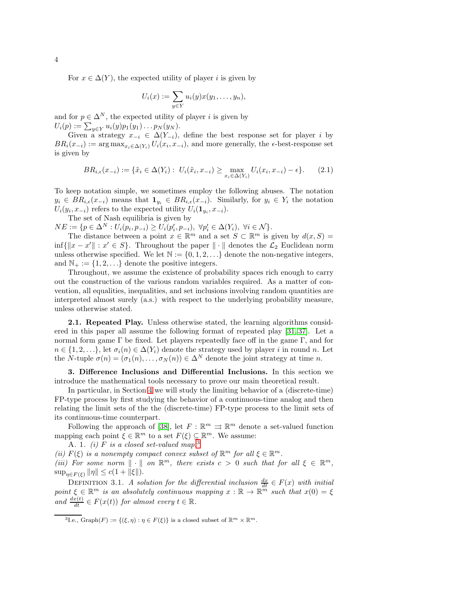For  $x \in \Delta(Y)$ , the expected utility of player *i* is given by

<span id="page-3-5"></span>
$$
U_i(x) := \sum_{y \in Y} u_i(y)x(y_1, \ldots, y_n),
$$

and for  $p \in \Delta^N$ , the expected utility of player i is given by  $U_i(p) := \sum_{y \in Y} u_i(y) p_1(y_1) \ldots p_N(y_N).$ 

Given a strategy  $x_{-i} \in \Delta(Y_{-i})$ , define the best response set for player i by  $BR_i(x_{-i}) := \arg \max_{x_i \in \Delta(Y_i)} U_i(x_i, x_{-i}),$  and more generally, the  $\epsilon$ -best-response set is given by

$$
BR_{i,\epsilon}(x_{-i}) := \{ \tilde{x}_i \in \Delta(Y_i) : U_i(\tilde{x}_i, x_{-i}) \ge \max_{x_i \in \Delta(Y_i)} U_i(x_i, x_{-i}) - \epsilon \}.
$$
 (2.1)

To keep notation simple, we sometimes employ the following abuses. The notation  $y_i \in BR_{i,\epsilon}(x_{-i})$  means that  $\mathbf{1}_{y_i} \in BR_{i,\epsilon}(x_{-i})$ . Similarly, for  $y_i \in Y_i$  the notation  $U_i(y_i, x_{-i})$  refers to the expected utility  $U_i(\mathbf{1}_{y_i}, x_{-i})$ .

The set of Nash equilibria is given by

 $NE := \{ p \in \Delta^N : U_i(p_i, p_{-i}) \geq U_i(p'_i, p_{-i}), \ \forall p'_i \in \Delta(Y_i), \ \forall i \in \mathcal{N} \}.$ 

The distance between a point  $x \in \mathbb{R}^m$  and a set  $S \subset \mathbb{R}^m$  is given by  $d(x, S) =$ inf{ $||x - x'|| : x' \in S$ }. Throughout the paper  $|| \cdot ||$  denotes the  $\mathcal{L}_2$  Euclidean norm unless otherwise specified. We let  $\mathbb{N} := \{0, 1, 2, \ldots\}$  denote the non-negative integers, and  $\mathbb{N}_+ := \{1, 2, \ldots\}$  denote the positive integers.

Throughout, we assume the existence of probability spaces rich enough to carry out the construction of the various random variables required. As a matter of convention, all equalities, inequalities, and set inclusions involving random quantities are interpreted almost surely (a.s.) with respect to the underlying probability measure, unless otherwise stated.

<span id="page-3-4"></span>2.1. Repeated Play. Unless otherwise stated, the learning algorithms considered in this paper all assume the following format of repeated play [\[31,](#page-19-11) [37\]](#page-19-15). Let a normal form game  $\Gamma$  be fixed. Let players repeatedly face off in the game  $\Gamma$ , and for  $n \in \{1, 2, \ldots\}$ , let  $\sigma_i(n) \in \Delta(Y_i)$  denote the strategy used by player i in round n. Let the N-tuple  $\sigma(n) = (\sigma_1(n), \ldots, \sigma_N(n)) \in \Delta^N$  denote the joint strategy at time n.

<span id="page-3-0"></span>3. Difference Inclusions and Differential Inclusions. In this section we introduce the mathematical tools necessary to prove our main theoretical result.

In particular, in Section [4](#page-5-0) we will study the limiting behavior of a (discrete-time) FP-type process by first studying the behavior of a continuous-time analog and then relating the limit sets of the the (discrete-time) FP-type process to the limit sets of its continuous-time counterpart.

Following the approach of [\[38\]](#page-19-16), let  $F : \mathbb{R}^m \Rightarrow \mathbb{R}^m$  denote a set-valued function mapping each point  $\xi \in \mathbb{R}^m$  to a set  $F(\xi) \subseteq \mathbb{R}^m$ . We assume:

<span id="page-3-3"></span>A. 1. (i) F is a closed set-valued map.<sup>[3](#page-3-1)</sup>

(ii)  $F(\xi)$  is a nonempty compact convex subset of  $\mathbb{R}^m$  for all  $\xi \in \mathbb{R}^m$ .

(iii) For some norm  $\|\cdot\|$  on  $\mathbb{R}^m$ , there exists  $c > 0$  such that for all  $\xi \in \mathbb{R}^m$ ,  $\sup_{\eta \in F(\xi)} \|\eta\| \le c(1 + \|\xi\|).$ 

<span id="page-3-2"></span>DEFINITION 3.1. A solution for the differential inclusion  $\frac{dx}{dt} \in F(x)$  with initial point  $\xi \in \mathbb{R}^m$  is an absolutely continuous mapping  $x : \mathbb{R} \to \mathbb{R}^m$  such that  $x(0) = \xi$ and  $\frac{dx(t)}{dt} \in F(x(t))$  for almost every  $t \in \mathbb{R}$ .

<span id="page-3-1"></span><sup>&</sup>lt;sup>3</sup>I.e., Graph $(F) := \{(\xi, \eta) : \eta \in F(\xi)\}\$ is a closed subset of  $\mathbb{R}^m \times \mathbb{R}^m$ .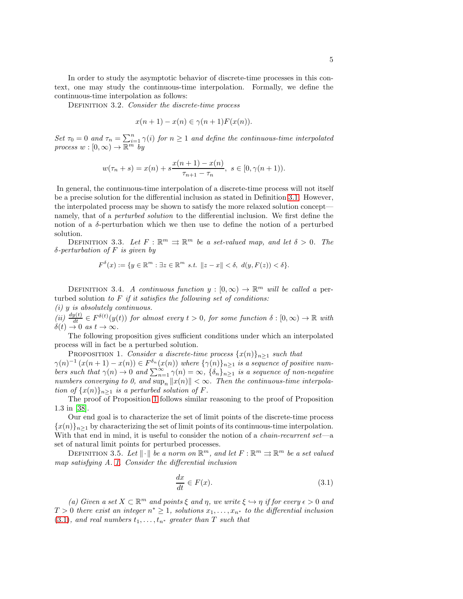In order to study the asymptotic behavior of discrete-time processes in this context, one may study the continuous-time interpolation. Formally, we define the continuous-time interpolation as follows:

DEFINITION 3.2. Consider the discrete-time process

$$
x(n+1) - x(n) \in \gamma(n+1)F(x(n)).
$$

Set  $\tau_0 = 0$  and  $\tau_n = \sum_{i=1}^n \gamma(i)$  for  $n \ge 1$  and define the continuous-time interpolated process  $w : [0, \infty) \to \overline{\mathbb{R}^m}^{\overline{m}}$  by

$$
w(\tau_n + s) = x(n) + s \frac{x(n+1) - x(n)}{\tau_{n+1} - \tau_n}, \ s \in [0, \gamma(n+1)).
$$

In general, the continuous-time interpolation of a discrete-time process will not itself be a precise solution for the differential inclusion as stated in Definition [3.1.](#page-3-2) However, the interpolated process may be shown to satisfy the more relaxed solution concept namely, that of a perturbed solution to the differential inclusion. We first define the notion of a  $\delta$ -perturbation which we then use to define the notion of a perturbed solution.

DEFINITION 3.3. Let  $F : \mathbb{R}^m \Rightarrow \mathbb{R}^m$  be a set-valued map, and let  $\delta > 0$ . The  $\delta$ -perturbation of F is given by

<span id="page-4-0"></span>
$$
F^{\delta}(x) := \{ y \in \mathbb{R}^m : \exists z \in \mathbb{R}^m \ s.t. \ \Vert z - x \Vert < \delta, \ d(y, F(z)) < \delta \}.
$$

DEFINITION 3.4. A continuous function  $y : [0, \infty) \to \mathbb{R}^m$  will be called a perturbed solution to  $F$  if it satisfies the following set of conditions:

(i) y is absolutely continuous.

(ii)  $\frac{dy(t)}{dt} \in F^{\delta(t)}(y(t))$  for almost every  $t > 0$ , for some function  $\delta : [0, \infty) \to \mathbb{R}$  with  $\delta(t) \to 0 \text{ as } t \to \infty.$ 

The following proposition gives sufficient conditions under which an interpolated process will in fact be a perturbed solution.

PROPOSITION 1. Consider a discrete-time process  $\{x(n)\}_{n\geq 1}$  such that

 $\gamma(n)^{-1} (x(n+1) - x(n)) \in F^{\delta_n}(x(n))$  where  $\{\gamma(n)\}_{n \geq 1}$  is a sequence of positive numbers such that  $\gamma(n) \to 0$  and  $\sum_{n=1}^{\infty} \gamma(n) = \infty$ ,  $\{\delta_n\}_{n \geq 1}$  is a sequence of non-negative numbers converging to 0, and  $\sup_n ||x(n)|| < \infty$ . Then the continuous-time interpolation of  $\{x(n)\}_{n\geq 1}$  is a perturbed solution of F.

The proof of Proposition [1](#page-4-0) follows similar reasoning to the proof of Proposition 1.3 in [\[38\]](#page-19-16).

Our end goal is to characterize the set of limit points of the discrete-time process  ${x(n)}_{n\geq 1}$  by characterizing the set of limit points of its continuous-time interpolation. With that end in mind, it is useful to consider the notion of a *chain-recurrent set*—a set of natural limit points for perturbed processes.

DEFINITION 3.5. Let  $\|\cdot\|$  be a norm on  $\mathbb{R}^m$ , and let  $F : \mathbb{R}^m \rightrightarrows \mathbb{R}^m$  be a set valued map satisfying A. [1.](#page-3-3) Consider the differential inclusion

<span id="page-4-1"></span>
$$
\frac{dx}{dt} \in F(x). \tag{3.1}
$$

(a) Given a set  $X \subset \mathbb{R}^m$  and points  $\xi$  and  $\eta$ , we write  $\xi \hookrightarrow \eta$  if for every  $\epsilon > 0$  and  $T > 0$  there exist an integer  $n^* \geq 1$ , solutions  $x_1, \ldots, x_{n^*}$  to the differential inclusion [\(3.1\)](#page-4-1), and real numbers  $t_1, \ldots, t_{n^*}$  greater than T such that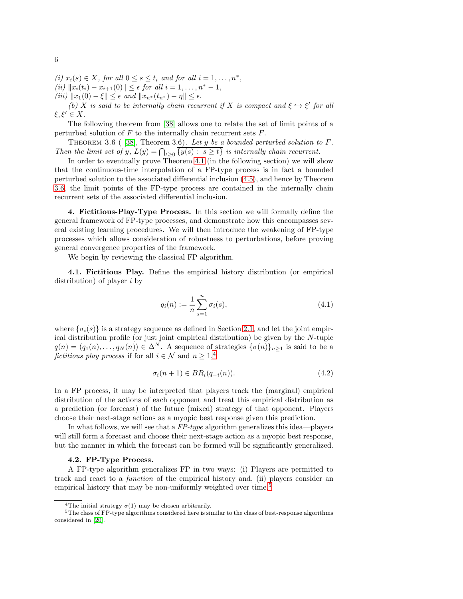(i)  $x_i(s) \in X$ , for all  $0 \le s \le t_i$  and for all  $i = 1, \ldots, n^*$ , (ii)  $||x_i(t_i) - x_{i+1}(0)|| \leq \epsilon$  for all  $i = 1, ..., n^* - 1$ , (iii)  $||x_1(0) - \xi|| \leq \epsilon$  and  $||x_{n^*}(t_{n^*}) - \eta|| \leq \epsilon$ .

(b) X is said to be internally chain recurrent if X is compact and  $\xi \hookrightarrow \xi'$  for all  $\xi, \xi' \in X$ .

<span id="page-5-1"></span>The following theorem from [\[38\]](#page-19-16) allows one to relate the set of limit points of a perturbed solution of  $F$  to the internally chain recurrent sets  $F$ .

THEOREM 3.6 (  $[38]$ , Theorem 3.6). Let y be a bounded perturbed solution to F. Then the limit set of y,  $L(y) = \bigcap_{t \geq 0} \{y(s) : s \geq t\}$  is internally chain recurrent.

In order to eventually prove Theorem [4.1](#page-7-1) (in the following section) we will show that the continuous-time interpolation of a FP-type process is in fact a bounded perturbed solution to the associated differential inclusion [\(4.5\)](#page-7-2), and hence by Theorem [3.6,](#page-5-1) the limit points of the FP-type process are contained in the internally chain recurrent sets of the associated differential inclusion.

<span id="page-5-0"></span>4. Fictitious-Play-Type Process. In this section we will formally define the general framework of FP-type processes, and demonstrate how this encompasses several existing learning procedures. We will then introduce the weakening of FP-type processes which allows consideration of robustness to perturbations, before proving general convergence properties of the framework.

We begin by reviewing the classical FP algorithm.

<span id="page-5-6"></span>4.1. Fictitious Play. Define the empirical history distribution (or empirical distribution) of player i by

<span id="page-5-5"></span>
$$
q_i(n) := \frac{1}{n} \sum_{s=1}^{n} \sigma_i(s),
$$
\n(4.1)

where  $\{\sigma_i(s)\}\$ is a strategy sequence as defined in Section [2.1,](#page-3-4) and let the joint empirical distribution profile (or just joint empirical distribution) be given by the N-tuple  $q(n) = (q_1(n), \ldots, q_N(n)) \in \Delta^N$ . A sequence of strategies  $\{\sigma(n)\}_{n \geq 1}$  is said to be a fictitious play process if for all  $i \in \mathcal{N}$  and  $n \geq 1,4$  $n \geq 1,4$ 

<span id="page-5-4"></span>
$$
\sigma_i(n+1) \in BR_i(q_{-i}(n)). \tag{4.2}
$$

In a FP process, it may be interpreted that players track the (marginal) empirical distribution of the actions of each opponent and treat this empirical distribution as a prediction (or forecast) of the future (mixed) strategy of that opponent. Players choose their next-stage actions as a myopic best response given this prediction.

In what follows, we will see that a  $FP$ -type algorithm generalizes this idea—players will still form a forecast and choose their next-stage action as a myopic best response, but the manner in which the forecast can be formed will be significantly generalized.

### 4.2. FP-Type Process.

A FP-type algorithm generalizes FP in two ways: (i) Players are permitted to track and react to a function of the empirical history and, (ii) players consider an empirical history that may be non-uniformly weighted over time.<sup>[5](#page-5-3)</sup>

<span id="page-5-3"></span><span id="page-5-2"></span><sup>&</sup>lt;sup>4</sup>The initial strategy  $\sigma(1)$  may be chosen arbitrarily.

<sup>5</sup>The class of FP-type algorithms considered here is similar to the class of best-response algorithms considered in [\[20\]](#page-19-2).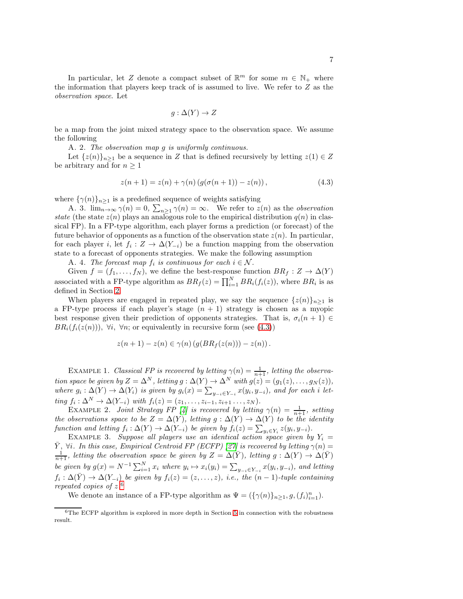In particular, let Z denote a compact subset of  $\mathbb{R}^m$  for some  $m \in \mathbb{N}_+$  where the information that players keep track of is assumed to live. We refer to Z as the observation space. Let

<span id="page-6-3"></span><span id="page-6-0"></span>
$$
g: \Delta(Y) \to Z
$$

be a map from the joint mixed strategy space to the observation space. We assume the following

<span id="page-6-2"></span>A. 2. The observation map g is uniformly continuous.

Let  $\{z(n)\}_{n\geq 1}$  be a sequence in Z that is defined recursively by letting  $z(1) \in Z$ be arbitrary and for  $n \geq 1$ 

$$
z(n + 1) = z(n) + \gamma(n) \left( g(\sigma(n + 1)) - z(n) \right), \tag{4.3}
$$

where  $\{\gamma(n)\}_{n\geq 1}$  is a predefined sequence of weights satisfying

A. 3.  $\lim_{n\to\infty} \gamma(n) = 0$ ,  $\sum_{n\geq 1} \gamma(n) = \infty$ . We refer to  $z(n)$  as the *observation* state (the state  $z(n)$  plays an analogous role to the empirical distribution  $q(n)$  in classical FP). In a FP-type algorithm, each player forms a prediction (or forecast) of the future behavior of opponents as a function of the observation state  $z(n)$ . In particular, for each player *i*, let  $f_i : Z \to \Delta(Y_{-i})$  be a function mapping from the observation state to a forecast of opponents strategies. We make the following assumption

A. 4. The forecast map  $f_i$  is continuous for each  $i \in \mathcal{N}$ .

Given  $f = (f_1, \ldots, f_N)$ , we define the best-response function  $BR_f : Z \to \Delta(Y)$ associated with a FP-type algorithm as  $BR_f(z) = \prod_{i=1}^{N} BR_i(f_i(z))$ , where  $BR_i$  is as defined in Section [2.](#page-2-1)

When players are engaged in repeated play, we say the sequence  $\{z(n)\}_{n\geq 1}$  is a FP-type process if each player's stage  $(n + 1)$  strategy is chosen as a myopic best response given their prediction of opponents strategies. That is,  $\sigma_i(n+1) \in$  $BR_i(f_i(z(n)))$ ,  $\forall i$ ,  $\forall n$ ; or equivalently in recursive form (see [\(4.3\)](#page-6-0))

$$
z(n + 1) - z(n) \in \gamma(n) \left( g(BR_f(z(n))) - z(n) \right).
$$

EXAMPLE 1. Classical FP is recovered by letting  $\gamma(n) = \frac{1}{n+1}$ , letting the observation space be given by  $Z = \Delta^N$ , letting  $g : \Delta(Y) \to \Delta^N$  with  $g(z) = (g_1(z), \ldots, g_N(z)),$ where  $g_i: \Delta(Y) \to \Delta(Y_i)$  is given by  $g_i(x) = \sum_{y_{-i} \in Y_{-i}} x(y_i, y_{-i})$ , and for each i letting  $f_i: \Delta^N \to \Delta(Y_{-i})$  with  $f_i(z) = (z_1, \ldots, z_{i-1}, z_{i+1}, \ldots, z_N)$ .

EXAMPLE 2. Joint Strategy FP [\[4\]](#page-18-7) is recovered by letting  $\gamma(n) = \frac{1}{n+1}$ , setting the observations space to be  $Z = \Delta(Y)$ , letting  $g : \Delta(Y) \to \Delta(Y)$  to be the identity function and letting  $f_i : \Delta(Y) \to \Delta(Y_{-i})$  be given by  $f_i(z) = \sum_{y_i \in Y_i} z(y_i, y_{-i}).$ 

EXAMPLE 3. Suppose all players use an identical action space given by  $Y_i =$  $\overline{Y}$ ,  $\forall i$ . In this case, Empirical Centroid FP (ECFP) [\[27\]](#page-19-8) is recovered by letting  $\gamma(n)$  =  $\frac{1}{n+1}$ , letting the observation space be given by  $Z = \Delta(\overline{Y})$ , letting  $g : \Delta(Y) \to \Delta(\overline{Y})$ be given by  $g(x) = N^{-1} \sum_{i=1}^{N} x_i$  where  $y_i \mapsto x_i(y_i) = \sum_{y_{-i} \in Y_{-i}} x(y_i, y_{-i})$ , and letting  $f_i: \Delta(\bar{Y}) \to \Delta(Y_{-i})$  be given by  $f_i(z) = (z, \ldots, z)$ , i.e., the  $(n-1)$ -tuple containing repeated copies of z. [6](#page-6-1)

We denote an instance of a FP-type algorithm as  $\Psi = (\{\gamma(n)\}_{n \geq 1}, g, (f_i)_{i=1}^n)$ .

<span id="page-6-1"></span> $6$ The ECFP algorithm is explored in more depth in Section [5](#page-10-0) in connection with the robustness result.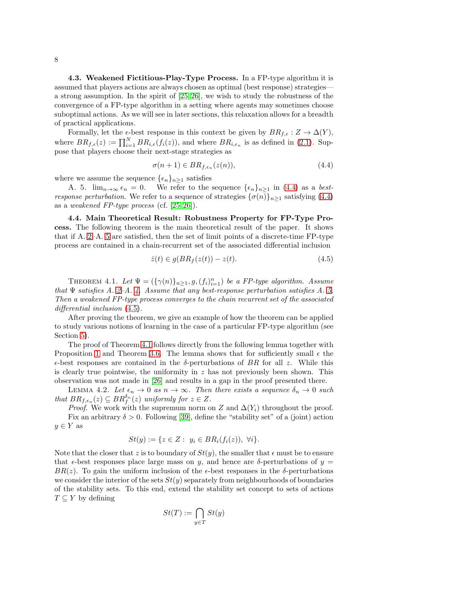4.3. Weakened Fictitious-Play-Type Process. In a FP-type algorithm it is assumed that players actions are always chosen as optimal (best response) strategies a strong assumption. In the spirit of [\[25,](#page-19-6) [26\]](#page-19-7), we wish to study the robustness of the convergence of a FP-type algorithm in a setting where agents may sometimes choose suboptimal actions. As we will see in later sections, this relaxation allows for a breadth of practical applications.

Formally, let the  $\epsilon$ -best response in this context be given by  $BR_{f,\epsilon}: Z \to \Delta(Y)$ , where  $BR_{f,\epsilon}(z) := \prod_{i=1}^{N} BR_{i,\epsilon}(f_i(z))$ , and where  $BR_{i,\epsilon_n}$  is as defined in [\(2.1\)](#page-3-5). Suppose that players choose their next-stage strategies as

<span id="page-7-4"></span><span id="page-7-3"></span>
$$
\sigma(n+1) \in BR_{f,\epsilon_n}(z(n)),\tag{4.4}
$$

where we assume the sequence  $\{\epsilon_n\}_{n\geq 1}$  satisfies

A. 5.  $\lim_{n\to\infty} \epsilon_n = 0$ . We refer to the sequence  $\{\epsilon_n\}_{n>1}$  in [\(4.4\)](#page-7-3) as a best*response perturbation.* We refer to a sequence of strategies  $\{\sigma(n)\}_{n>1}$  satisfying [\(4.4\)](#page-7-3) as a weakened FP-type process (cf.  $[25, 26]$  $[25, 26]$ ).

4.4. Main Theoretical Result: Robustness Property for FP-Type Process. The following theorem is the main theoretical result of the paper. It shows that if A. [2–](#page-6-2)A. [5](#page-7-4) are satisfied, then the set of limit points of a discrete-time FP-type process are contained in a chain-recurrent set of the associated differential inclusion

<span id="page-7-2"></span>
$$
\dot{z}(t) \in g(BR_f(z(t)) - z(t). \tag{4.5}
$$

<span id="page-7-1"></span>THEOREM 4.1. Let  $\Psi = (\{\gamma(n)\}_{n \geq 1}, g, (f_i)_{i=1}^n)$  be a FP-type algorithm. Assume that  $\Psi$  satisfies A. [2–](#page-6-2)A. [4.](#page-6-3) Assume that any best-response perturbation satisfies A. [5.](#page-7-4) Then a weakened FP-type process converges to the chain recurrent set of the associated differential inclusion  $(4.5)$ .

After proving the theorem, we give an example of how the theorem can be applied to study various notions of learning in the case of a particular FP-type algorithm (see Section [5\)](#page-10-0).

The proof of Theorem [4.1](#page-7-1) follows directly from the following lemma together with Proposition [1](#page-4-0) and Theorem [3.6.](#page-5-1) The lemma shows that for sufficiently small  $\epsilon$  the  $\epsilon$ -best responses are contained in the  $\delta$ -perturbations of BR for all z. While this is clearly true pointwise, the uniformity in  $z$  has not previously been shown. This observation was not made in [\[26\]](#page-19-7) and results in a gap in the proof presented there.

LEMMA 4.2. Let  $\epsilon_n \to 0$  as  $n \to \infty$ . Then there exists a sequence  $\delta_n \to 0$  such that  $BR_{f, \epsilon_n}(z) \subseteq BR_f^{\delta_n}(z)$  uniformly for  $z \in Z$ .

*Proof.* We work with the supremum norm on Z and  $\Delta(Y_i)$  throughout the proof. Fix an arbitrary  $\delta > 0$ . Following [\[39\]](#page-19-17), define the "stability set" of a (joint) action  $y \in Y$  as

<span id="page-7-0"></span>
$$
St(y) := \{ z \in Z : y_i \in BR_i(f_i(z)), \ \forall i \}.
$$

Note that the closer that z is to boundary of  $St(y)$ , the smaller that  $\epsilon$  must be to ensure that  $\epsilon$ -best responses place large mass on y, and hence are  $\delta$ -perturbations of y BR(z). To gain the uniform inclusion of the  $\epsilon$ -best responses in the  $\delta$ -perturbations we consider the interior of the sets  $St(y)$  separately from neighbourhoods of boundaries of the stability sets. To this end, extend the stability set concept to sets of actions  $T \subseteq Y$  by defining

$$
St(T) := \bigcap_{y \in T} St(y)
$$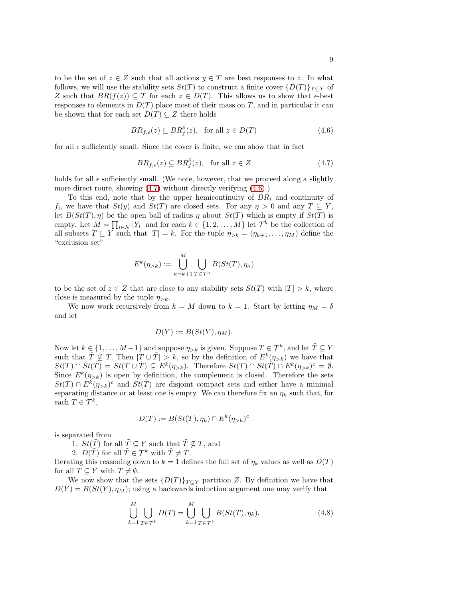to be the set of  $z \in Z$  such that all actions  $y \in T$  are best responses to z. In what follows, we will use the stability sets  $St(T)$  to construct a finite cover  $\{D(T)\}_{T\subset Y}$  of Z such that  $BR(f(z)) \subseteq T$  for each  $z \in D(T)$ . This allows us to show that  $\epsilon$ -best responses to elements in  $D(T)$  place most of their mass on T, and in particular it can be shown that for each set  $D(T) \subseteq Z$  there holds

$$
BR_{f,\epsilon}(z) \subseteq BR_f^{\delta}(z), \text{ for all } z \in D(T)
$$
\n(4.6)

for all  $\epsilon$  sufficiently small. Since the cover is finite, we can show that in fact

<span id="page-8-1"></span><span id="page-8-0"></span>
$$
BR_{f,\epsilon}(z) \subseteq BR_f^{\delta}(z), \text{ for all } z \in Z
$$
 (4.7)

holds for all  $\epsilon$  sufficiently small. (We note, however, that we proceed along a slightly more direct route, showing [\(4.7\)](#page-8-0) without directly verifying [\(4.6\)](#page-8-1).)

To this end, note that by the upper hemicontinuity of  $BR_i$  and continuity of  $f_i$ , we have that  $St(y)$  and  $St(T)$  are closed sets. For any  $\eta > 0$  and any  $T \subseteq Y$ , let  $B(St(T), \eta)$  be the open ball of radius  $\eta$  about  $St(T)$  which is empty if  $St(T)$  is empty. Let  $M = \prod_{i \in \mathcal{N}} |Y_i|$  and for each  $k \in \{1, 2, ..., M\}$  let  $\mathcal{T}^k$  be the collection of all subsets  $T \subseteq Y$  such that  $|T| = k$ . For the tuple  $\eta_{>k} = (\eta_{k+1}, \dots, \eta_M)$  define the "exclusion set"

$$
E^k(\eta_{>k}) := \bigcup_{\kappa=k+1}^M \bigcup_{T \in \mathcal{T}^{\kappa}} B(St(T), \eta_{\kappa})
$$

to be the set of  $z \in Z$  that are close to any stability sets  $St(T)$  with  $|T| > k$ , where close is measured by the tuple  $\eta_{>k}$ .

We now work recursively from  $k = M$  down to  $k = 1$ . Start by letting  $\eta_M = \delta$ and let

$$
D(Y) := B(St(Y), \eta_M).
$$

Now let  $k \in \{1, ..., M-1\}$  and suppose  $\eta_{>k}$  is given. Suppose  $T \in \mathcal{T}^k$ , and let  $\tilde{T} \subseteq Y$ such that  $\tilde{T} \nsubseteq T$ . Then  $|T \cup \tilde{T}| > k$ , so by the definition of  $E^k(\eta_{>k})$  we have that  $St(T) \cap St(\tilde{T}) = St(T \cup \tilde{T}) \subseteq E^k(\eta_{>k}).$  Therefore  $St(T) \cap St(\tilde{T}) \cap E^k(\eta_{>k})^c = \emptyset.$ Since  $E^k(\eta_{>k})$  is open by definition, the complement is closed. Therefore the sets  $St(T) \cap E^{k}(\eta_{>k})^c$  and  $St(\tilde{T})$  are disjoint compact sets and either have a minimal separating distance or at least one is empty. We can therefore fix an  $\eta_k$  such that, for each  $T \in \mathcal{T}^k$ ,

$$
D(T) := B(St(T), \eta_k) \cap E^k(\eta_{>k})^c
$$

is separated from

- 1.  $St(\tilde{T})$  for all  $\tilde{T} \subseteq Y$  such that  $\tilde{T} \nsubseteq T$ , and
- 2.  $D(\tilde{T})$  for all  $\tilde{T} \in \mathcal{T}^k$  with  $\tilde{T} \neq T$ .

Iterating this reasoning down to  $k = 1$  defines the full set of  $\eta_k$  values as well as  $D(T)$ for all  $T \subseteq Y$  with  $T \neq \emptyset$ .

We now show that the sets  $\{D(T)\}_{T\subset Y}$  partition Z. By definition we have that  $D(Y) = B(St(Y), \eta_M)$ ; using a backwards induction argument one may verify that

<span id="page-8-2"></span>
$$
\bigcup_{k=1}^{M} \bigcup_{T \in \mathcal{T}^k} D(T) = \bigcup_{k=1}^{M} \bigcup_{T \in \mathcal{T}^k} B(St(T), \eta_k). \tag{4.8}
$$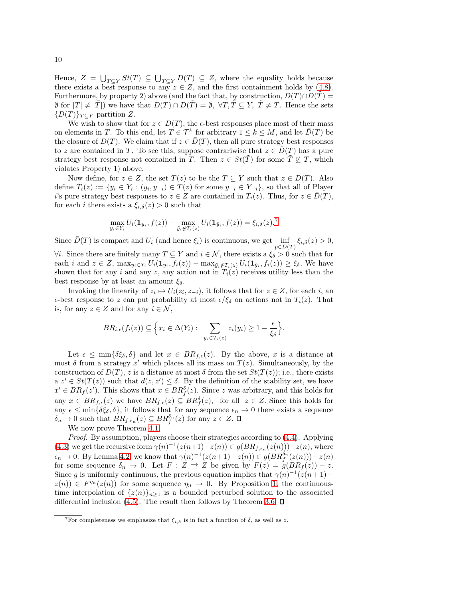Hence,  $Z = \bigcup_{T \subseteq Y} St(T) \subseteq \bigcup_{T \subseteq Y} D(T) \subseteq Z$ , where the equality holds because there exists a best response to any  $z \in Z$ , and the first containment holds by [\(4.8\)](#page-8-2). Furthermore, by property 2) above (and the fact that, by construction,  $D(T) \cap D(T) =$  $\emptyset$  for  $|T| \neq |T|$ ) we have that  $D(T) ∩ D(T) = \emptyset$ ,  $\forall T, T \subseteq Y$ ,  $T \neq T$ . Hence the sets  ${D(T)}_{T\subseteq Y}$  partition Z.

We wish to show that for  $z \in D(T)$ , the  $\epsilon$ -best responses place most of their mass on elements in T. To this end, let  $T \in \mathcal{T}^k$  for arbitrary  $1 \leq k \leq M$ , and let  $\overline{D}(T)$  be the closure of  $D(T)$ . We claim that if  $z \in \overline{D}(T)$ , then all pure strategy best responses to z are contained in T. To see this, suppose contrariwise that  $z \in D(T)$  has a pure strategy best response not contained in T. Then  $z \in St(T)$  for some  $T \nsubseteq T$ , which violates Property 1) above.

Now define, for  $z \in Z$ , the set  $T(z)$  to be the  $T \subseteq Y$  such that  $z \in D(T)$ . Also define  $T_i(z) := \{y_i \in Y_i : (y_i, y_{-i}) \in T(z) \text{ for some } y_{-i} \in Y_{-i}\}\)$ , so that all of Player i's pure strategy best responses to  $z \in Z$  are contained in  $T_i(z)$ . Thus, for  $z \in D(T)$ , for each i there exists a  $\xi_{i,\delta}(z) > 0$  such that

$$
\max_{y_i \in Y_i} U_i(\mathbf{1}_{y_i}, f(z)) - \max_{\tilde{y}_i \notin T_i(z)} U_i(\mathbf{1}_{\tilde{y}_i}, f(z)) = \xi_{i,\delta}(z).^\mathbf{7}
$$

Since  $\bar{D}(T)$  is compact and  $U_i$  (and hence  $\xi_i$ ) is continuous, we get  $\inf_{p \in \bar{D}(T)} \xi_{i,\delta}(z) > 0$ ,  $\forall i$ . Since there are finitely many  $T \subseteq Y$  and  $i \in \mathcal{N}$ , there exists a  $\xi_{\delta} > 0$  such that for

each i and  $z \in Z$ ,  $\max_{y_i \in Y_i} U_i(\mathbf{1}_{y_i}, f_i(z)) - \max_{\tilde{y}_i \notin T_i(z)} U_i(\mathbf{1}_{\tilde{y}_i}, f_i(z)) \geq \xi_{\delta}$ . We have shown that for any i and any z, any action not in  $T_i(z)$  receives utility less than the best response by at least an amount  $\xi_{\delta}$ .

Invoking the linearity of  $z_i \mapsto U_i(z_i, z_{-i})$ , it follows that for  $z \in Z$ , for each i, an  $\epsilon$ -best response to z can put probability at most  $\epsilon/\xi_{\delta}$  on actions not in  $T_i(z)$ . That is, for any  $z \in Z$  and for any  $i \in \mathcal{N}$ ,

$$
BR_{i,\epsilon}(f_i(z)) \subseteq \Big\{ x_i \in \Delta(Y_i) : \sum_{y_i \in T_i(z)} z_i(y_i) \geq 1 - \frac{\epsilon}{\xi_{\delta}} \Big\}.
$$

Let  $\epsilon \le \min\{\delta \xi_\delta, \delta\}$  and let  $x \in BR_{f,\epsilon}(z)$ . By the above, x is a distance at most  $\delta$  from a strategy  $x'$  which places all its mass on  $T(z)$ . Simultaneously, by the construction of  $D(T)$ , z is a distance at most  $\delta$  from the set  $St(T(z))$ ; i.e., there exists  $a \, z' \in St(T(z))$  such that  $d(z, z') \leq \delta$ . By the definition of the stability set, we have  $x' \in BR_f(z')$ . This shows that  $x \in BR_f^{\delta}(z)$ . Since z was arbitrary, and this holds for any  $x \in BR_{f,\epsilon}(z)$  we have  $BR_{f,\epsilon}(z) \subseteq BR_{f}^{\delta}(z)$ , for all  $z \in Z$ . Since this holds for any  $\epsilon \le \min\{\delta\xi_\delta,\delta\}$ , it follows that for any sequence  $\epsilon_n \to 0$  there exists a sequence  $\delta_n \to 0$  such that  $BR_{f, \epsilon_n}(z) \subseteq BR_f^{\delta_n}(z)$  for any  $z \in Z$ .

We now prove Theorem [4.1.](#page-7-1)

Proof. By assumption, players choose their strategies according to [\(4.4\)](#page-7-3). Applying [\(4.3\)](#page-6-0) we get the recursive form  $\gamma(n)^{-1}(z(n+1)-z(n)) \in g(BR_{f,\epsilon_n}(z(n))) - z(n)$ , where  $\epsilon_n \to 0$ . By Lemma [4.2,](#page-7-0) we know that  $\gamma(n)^{-1}(z(n+1)-z(n)) \in g(BR_f^{\delta_n}(z(n))) - z(n)$ for some sequence  $\delta_n \to 0$ . Let  $F : Z \rightrightarrows Z$  be given by  $F(z) = g(BR_f(z)) - z$ . Since g is uniformly continuous, the previous equation implies that  $\gamma(n)^{-1}(z(n+1)$  $z(n)$ )  $\in F^{\eta_n}(z(n))$  for some sequence  $\eta_n \to 0$ . By Proposition [1,](#page-4-0) the continuoustime interpolation of  $\{z(n)\}_{n\geq 1}$  is a bounded perturbed solution to the associated differential inclusion [\(4.5\)](#page-7-2). The result then follows by Theorem [3.6.](#page-5-1)  $\square$ 

<span id="page-9-0"></span><sup>&</sup>lt;sup>7</sup>For completeness we emphasize that  $\xi_{i,\delta}$  is in fact a function of  $\delta$ , as well as z.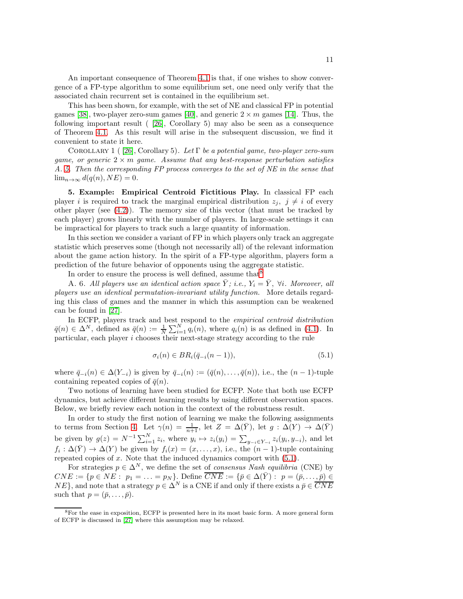An important consequence of Theorem [4.1](#page-7-1) is that, if one wishes to show convergence of a FP-type algorithm to some equilibrium set, one need only verify that the associated chain recurrent set is contained in the equilibrium set.

This has been shown, for example, with the set of NE and classical FP in potential games [\[38\]](#page-19-16), two-player zero-sum games [\[40\]](#page-19-18), and generic  $2 \times m$  games [\[14\]](#page-18-8). Thus, the following important result ( [\[26\]](#page-19-7), Corollary 5) may also be seen as a consequence of Theorem [4.1.](#page-7-1) As this result will arise in the subsequent discussion, we find it convenient to state it here.

<span id="page-10-4"></span>COROLLARY 1 ( [\[26\]](#page-19-7), Corollary 5). Let  $\Gamma$  be a potential game, two-player zero-sum game, or generic  $2 \times m$  game. Assume that any best-response perturbation satisfies A. [5.](#page-7-4) Then the corresponding FP process converges to the set of NE in the sense that  $\lim_{n\to\infty} d(q(n), NE) = 0.$ 

<span id="page-10-0"></span>5. Example: Empirical Centroid Fictitious Play. In classical FP each player i is required to track the marginal empirical distribution  $z_i$ ,  $i \neq i$  of every other player (see  $(4.2)$ ). The memory size of this vector (that must be tracked by each player) grows linearly with the number of players. In large-scale settings it can be impractical for players to track such a large quantity of information.

In this section we consider a variant of FP in which players only track an aggregate statistic which preserves some (though not necessarily all) of the relevant information about the game action history. In the spirit of a FP-type algorithm, players form a prediction of the future behavior of opponents using the aggregate statistic.

In order to ensure the process is well defined, assume that  $8$ 

A. 6. All players use an identical action space  $\overline{Y}$ ; i.e.,  $Y_i = \overline{Y}$ ,  $\forall i$ . Moreover, all players use an identical permutation-invariant utility function. More details regarding this class of games and the manner in which this assumption can be weakened can be found in [\[27\]](#page-19-8).

In ECFP, players track and best respond to the *empirical centroid distribution*  $\bar{q}(n) \in \Delta^N$ , defined as  $\bar{q}(n) := \frac{1}{N} \sum_{i=1}^N q_i(n)$ , where  $q_i(n)$  is as defined in [\(4.1\)](#page-5-5). In particular, each player  $i$  chooses their next-stage strategy according to the rule

<span id="page-10-3"></span><span id="page-10-2"></span>
$$
\sigma_i(n) \in BR_i(\bar{q}_{-i}(n-1)),\tag{5.1}
$$

where  $\bar{q}_{-i}(n) \in \Delta(Y_{-i})$  is given by  $\bar{q}_{-i}(n) := (\bar{q}(n), \ldots, \bar{q}(n)),$  i.e., the  $(n-1)$ -tuple containing repeated copies of  $\bar{q}(n)$ .

Two notions of learning have been studied for ECFP. Note that both use ECFP dynamics, but achieve different learning results by using different observation spaces. Below, we briefly review each notion in the context of the robustness result.

In order to study the first notion of learning we make the following assignments to terms from Section [4.](#page-5-0) Let  $\gamma(n) = \frac{1}{n+1}$ , let  $Z = \Delta(\bar{Y})$ , let  $g : \Delta(Y) \to \Delta(\bar{Y})$ be given by  $g(z) = N^{-1} \sum_{i=1}^{N} z_i$ , where  $y_i \mapsto z_i(y_i) = \sum_{y_{-i} \in Y_{-i}} z_i(y_i, y_{-i})$ , and let  $f_i: \Delta(\bar{Y}) \to \Delta(Y)$  be given by  $f_i(x) = (x, \ldots, x)$ , i.e., the  $(n-1)$ -tuple containing repeated copies of  $x$ . Note that the induced dynamics comport with  $(5.1)$ .

For strategies  $p \in \Delta^N$ , we define the set of *consensus Nash equilibria* (CNE) by  $CNE := \{p \in NE: p_1 = \ldots = p_N\}.$  Define  $\overline{CNE} := \{\bar{p} \in \Delta(\bar{Y}): p = (\bar{p}, \ldots, \bar{p})\in$  $NE$ , and note that a strategy  $p \in \Delta^N$  is a CNE if and only if there exists a  $\bar{p} \in \overline{CNE}$ such that  $p = (\bar{p}, \ldots, \bar{p}).$ 

<span id="page-10-1"></span><sup>&</sup>lt;sup>8</sup>For the ease in exposition, ECFP is presented here in its most basic form. A more general form of ECFP is discussed in [\[27\]](#page-19-8) where this assumption may be relaxed.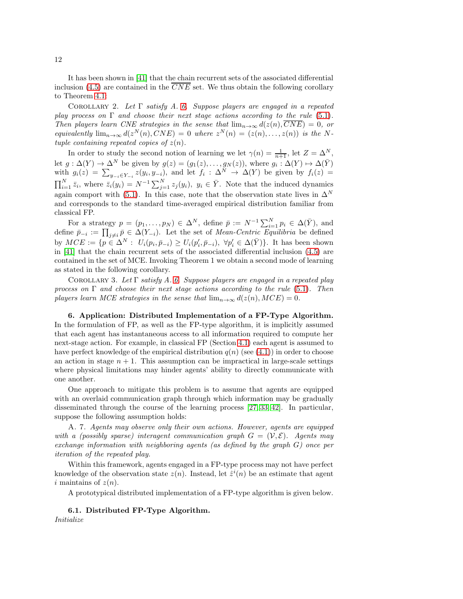It has been shown in [\[41\]](#page-19-19) that the chain recurrent sets of the associated differential inclusion [\(4.5\)](#page-7-2) are contained in the  $\overline{CNE}$  set. We thus obtain the following corollary to Theorem [4.1:](#page-7-1)

COROLLARY 2. Let  $\Gamma$  satisfy A. [6.](#page-10-3) Suppose players are engaged in a repeated play process on  $\Gamma$  and choose their next stage actions according to the rule [\(5.1\)](#page-10-2). Then players learn CNE strategies in the sense that  $\lim_{n\to\infty} d(z(n), \overline{CNE}) = 0$ , or equivalently  $\lim_{n\to\infty} d(z^N(n), CNE) = 0$  where  $z^N(n) = (z(n), \ldots, z(n))$  is the Ntuple containing repeated copies of  $z(n)$ .

In order to study the second notion of learning we let  $\gamma(n) = \frac{1}{n+1}$ , let  $Z = \Delta^N$ , let  $g: \Delta(Y) \to \Delta^N$  be given by  $g(z) = (g_1(z), \ldots, g_N(z)),$  where  $g_i: \Delta(Y) \to \Delta(\overline{Y})$ with  $g_i(z) = \sum_{y_{-i} \in Y_{-i}} z(y_i, y_{-i})$ , and let  $f_i : \Delta^N \to \Delta(Y)$  be given by  $f_i(z) =$  $\prod_{i=1}^N \bar{z}_i$ , where  $\bar{z}_i(y_i) = N^{-1} \sum_{j=1}^N z_j(y_i)$ ,  $y_i \in \bar{Y}$ . Note that the induced dynamics again comport with [\(5.1\)](#page-10-2). In this case, note that the observation state lives in  $\Delta^N$ and corresponds to the standard time-averaged empirical distribution familiar from classical FP.

For a strategy  $p = (p_1, \ldots, p_N) \in \Delta^N$ , define  $\bar{p} := N^{-1} \sum_{i=1}^N p_i \in \Delta(\bar{Y})$ , and define  $\bar{p}_{-i} := \prod_{j \neq i} \bar{p} \in \Delta(Y_{-i})$ . Let the set of *Mean-Centric Equilibria* be defined by  $MCE := \{ p \in \Delta^N : U_i(p_i, \bar{p}_{-i}) \geq U_i(p'_i, \bar{p}_{-i}), \ \forall p'_i \in \Delta(\bar{Y}) \}.$  It has been shown in [\[41\]](#page-19-19) that the chain recurrent sets of the associated differential inclusion [\(4.5\)](#page-7-2) are contained in the set of MCE. Invoking Theorem 1 we obtain a second mode of learning as stated in the following corollary.

COROLLARY 3. Let  $\Gamma$  satisfy A. [6.](#page-10-3) Suppose players are engaged in a repeated play process on  $\Gamma$  and choose their next stage actions according to the rule [\(5.1\)](#page-10-2). Then players learn MCE strategies in the sense that  $\lim_{n\to\infty} d(z(n),MCE) = 0$ .

<span id="page-11-0"></span>6. Application: Distributed Implementation of a FP-Type Algorithm. In the formulation of FP, as well as the FP-type algorithm, it is implicitly assumed that each agent has instantaneous access to all information required to compute her next-stage action. For example, in classical FP (Section [4.1\)](#page-5-6) each agent is assumed to have perfect knowledge of the empirical distribution  $q(n)$  (see [\(4.1\)](#page-5-5)) in order to choose an action in stage  $n + 1$ . This assumption can be impractical in large-scale settings where physical limitations may hinder agents' ability to directly communicate with one another.

One approach to mitigate this problem is to assume that agents are equipped with an overlaid communication graph through which information may be gradually disseminated through the course of the learning process [\[27,](#page-19-8) [33,](#page-19-20) [42\]](#page-19-21). In particular, suppose the following assumption holds:

A. 7. Agents may observe only their own actions. However, agents are equipped with a (possibly sparse) interagent communication graph  $G = (\mathcal{V}, \mathcal{E})$ . Agents may exchange information with neighboring agents (as defined by the graph  $G$ ) once per iteration of the repeated play.

Within this framework, agents engaged in a FP-type process may not have perfect knowledge of the observation state  $z(n)$ . Instead, let  $\hat{z}^i(n)$  be an estimate that agent i maintains of  $z(n)$ .

A prototypical distributed implementation of a FP-type algorithm is given below.

6.1. Distributed FP-Type Algorithm.

Initialize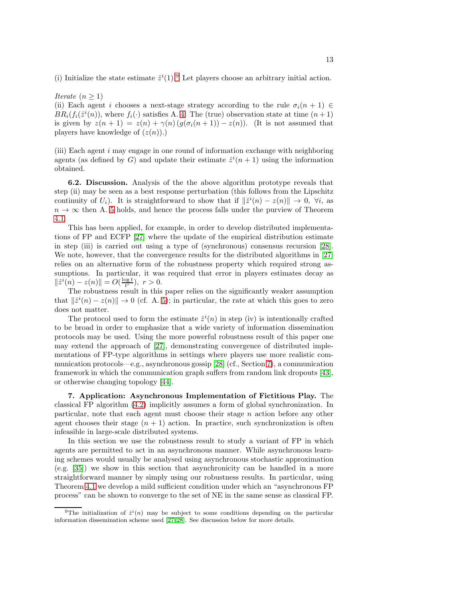(i) Initialize the state estimate  $\hat{z}^i(1)$ . Let players choose an arbitrary initial action.

### Iterate  $(n \geq 1)$

(ii) Each agent i chooses a next-stage strategy according to the rule  $\sigma_i(n+1) \in$  $BR_i(f_i(\hat{z}^i(n))$ , where  $f_i(\cdot)$  satisfies A. [4.](#page-6-3) The (true) observation state at time  $(n+1)$ is given by  $z(n + 1) = z(n) + \gamma(n) (g(\sigma_i(n+1)) - z(n))$ . (It is not assumed that players have knowledge of  $(z(n))$ .)

(iii) Each agent i may engage in one round of information exchange with neighboring agents (as defined by G) and update their estimate  $\hat{z}^i(n+1)$  using the information obtained.

6.2. Discussion. Analysis of the the above algorithm prototype reveals that step (ii) may be seen as a best response perturbation (this follows from the Lipschitz continuity of  $U_i$ ). It is straightforward to show that if  $\|\hat{z}^i(n) - z(n)\| \to 0$ ,  $\forall i$ , as  $n \to \infty$  then A. [5](#page-7-4) holds, and hence the process falls under the purview of Theorem [4.1.](#page-7-1)

This has been applied, for example, in order to develop distributed implementations of FP and ECFP [\[27\]](#page-19-8) where the update of the empirical distribution estimate in step (iii) is carried out using a type of (synchronous) consensus recursion [\[28\]](#page-19-14). We note, however, that the convergence results for the distributed algorithms in [\[27\]](#page-19-8) relies on an alternative form of the robustness property which required strong assumptions. In particular, it was required that error in players estimates decay as  $||\hat{z}^i(n) - z(n)|| = O(\frac{\log t}{t^r}), r > 0.$ 

The robustness result in this paper relies on the significantly weaker assumption that  $\|\hat{z}^{i}(n) - z(n)\| \to 0$  (cf. A. [5\)](#page-7-4); in particular, the rate at which this goes to zero does not matter.

The protocol used to form the estimate  $\hat{z}^i(n)$  in step (iv) is intentionally crafted to be broad in order to emphasize that a wide variety of information dissemination protocols may be used. Using the more powerful robustness result of this paper one may extend the approach of [\[27\]](#page-19-8), demonstrating convergence of distributed implementations of FP-type algorithms in settings where players use more realistic communication protocols—e.g., asynchronous gossip [\[28\]](#page-19-14) (cf., Section [7\)](#page-12-0), a communication framework in which the communication graph suffers from random link dropouts [\[43\]](#page-19-22), or otherwise changing topology [\[44\]](#page-19-23).

<span id="page-12-0"></span>7. Application: Asynchronous Implementation of Fictitious Play. The classical FP algorithm [\(4.2\)](#page-5-4) implicitly assumes a form of global synchronization. In particular, note that each agent must choose their stage n action before any other agent chooses their stage  $(n + 1)$  action. In practice, such synchronization is often infeasible in large-scale distributed systems.

In this section we use the robustness result to study a variant of FP in which agents are permitted to act in an asynchronous manner. While asynchronous learning schemes would usually be analysed using asynchronous stochastic approximation (e.g. [\[35\]](#page-19-24)) we show in this section that asynchronicity can be handled in a more straightforward manner by simply using our robustness results. In particular, using Theorem [4.1](#page-7-1) we develop a mild sufficient condition under which an "asynchronous FP process" can be shown to converge to the set of NE in the same sense as classical FP.

<span id="page-12-1"></span><sup>&</sup>lt;sup>9</sup>The initialization of  $\hat{z}^i(n)$  may be subject to some conditions depending on the particular information dissemination scheme used [\[27,](#page-19-8) [28\]](#page-19-14). See discussion below for more details.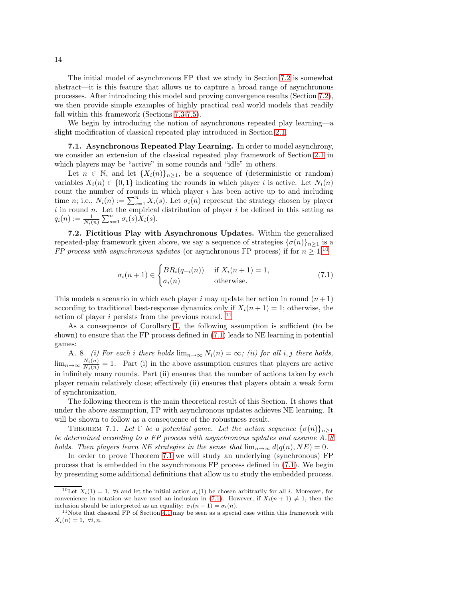The initial model of asynchronous FP that we study in Section [7.2](#page-13-0) is somewhat abstract—it is this feature that allows us to capture a broad range of asynchronous processes. After introducing this model and proving convergence results (Section [7.2\)](#page-13-0), we then provide simple examples of highly practical real world models that readily fall within this framework (Sections [7.3-](#page-15-0)[7.5\)](#page-17-0).

We begin by introducing the notion of asynchronous repeated play learning—a slight modification of classical repeated play introduced in Section [2.1.](#page-3-4)

7.1. Asynchronous Repeated Play Learning. In order to model asynchrony, we consider an extension of the classical repeated play framework of Section [2.1](#page-3-4) in which players may be "active" in some rounds and "idle" in others.

Let  $n \in \mathbb{N}$ , and let  $\{X_i(n)\}_{n\geq 1}$ , be a sequence of (deterministic or random) variables  $X_i(n) \in \{0,1\}$  indicating the rounds in which player i is active. Let  $N_i(n)$ count the number of rounds in which player  $i$  has been active up to and including time *n*; i.e.,  $N_i(n) := \sum_{s=1}^n X_i(s)$ . Let  $\sigma_i(n)$  represent the strategy chosen by player i in round n. Let the empirical distribution of player i be defined in this setting as  $q_i(n) := \frac{1}{N_i(n)} \sum_{s=1}^n \sigma_i(s) X_i(s).$ 

<span id="page-13-0"></span>7.2. Fictitious Play with Asynchronous Updates. Within the generalized repeated-play framework given above, we say a sequence of strategies  ${\{\sigma(n)\}}_{n>1}$  is a FP process with asynchronous updates (or asynchronous FP process) if for  $n \geq 1$ ,<sup>[10](#page-13-1)</sup>

<span id="page-13-5"></span><span id="page-13-3"></span>
$$
\sigma_i(n+1) \in \begin{cases} BR_i(q_{-i}(n)) & \text{if } X_i(n+1) = 1, \\ \sigma_i(n) & \text{otherwise.} \end{cases}
$$
\n(7.1)

This models a scenario in which each player i may update her action in round  $(n+1)$ according to traditional best-response dynamics only if  $X_i(n + 1) = 1$ ; otherwise, the action of player  $i$  persists from the previous round.  $^{\rm 11}$  $^{\rm 11}$  $^{\rm 11}$ 

As a consequence of Corollary [1,](#page-10-4) the following assumption is sufficient (to be shown) to ensure that the FP process defined in [\(7.1\)](#page-13-3) leads to NE learning in potential games:

<span id="page-13-4"></span>A. 8. (i) For each i there holds  $\lim_{n\to\infty} N_i(n) = \infty$ ; (ii) for all i, j there holds,  $\lim_{n\to\infty}\frac{N_i(n)}{N_j(n)}=1$ . Part (i) in the above assumption ensures that players are active in infinitely many rounds. Part (ii) ensures that the number of actions taken by each player remain relatively close; effectively (ii) ensures that players obtain a weak form of synchronization.

The following theorem is the main theoretical result of this Section. It shows that under the above assumption, FP with asynchronous updates achieves NE learning. It will be shown to follow as a consequence of the robustness result.

THEOREM 7.1. Let  $\Gamma$  be a potential game. Let the action sequence  $\{\sigma(n)\}_{n\geq 1}$ be determined according to a FP process with asynchronous updates and assume A. [8](#page-13-4) holds. Then players learn NE strategies in the sense that  $\lim_{n\to\infty} d(q(n), NE) = 0$ .

In order to prove Theorem [7.1](#page-13-5) we will study an underlying (synchronous) FP process that is embedded in the asynchronous FP process defined in [\(7.1\)](#page-13-3). We begin by presenting some additional definitions that allow us to study the embedded process.

<span id="page-13-1"></span><sup>&</sup>lt;sup>10</sup>Let  $X_i(1) = 1$ ,  $\forall i$  and let the initial action  $\sigma_i(1)$  be chosen arbitrarily for all i. Moreover, for convenience in notation we have used an inclusion in [\(7.1\)](#page-13-3). However, if  $X_i(n + 1) \neq 1$ , then the inclusion should be interpreted as an equality:  $\sigma_i(n+1) = \sigma_i(n)$ .

<span id="page-13-2"></span><sup>&</sup>lt;sup>11</sup>Note that classical FP of Section [4.1](#page-5-6) may be seen as a special case within this framework with  $X_i(n) = 1, \forall i, n.$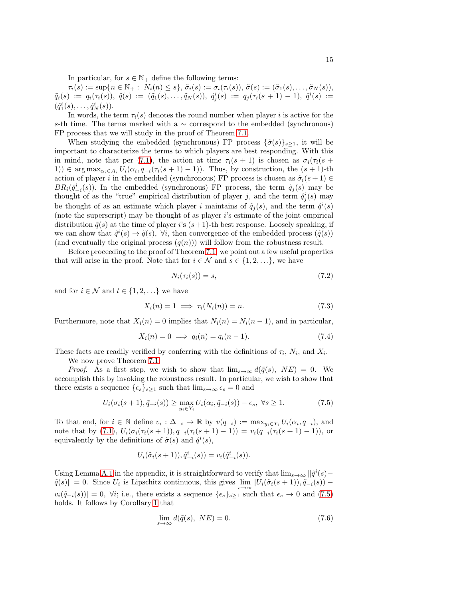In particular, for  $s \in \mathbb{N}_+$  define the following terms:

 $\tau_i(s) := \sup\{n \in \mathbb{N}_+ : N_i(n) \leq s\}, \tilde{\sigma}_i(s) := \sigma_i(\tau_i(s)), \tilde{\sigma}(s) := (\tilde{\sigma}_1(s), \ldots, \tilde{\sigma}_N(s)),$  $\tilde{q}_i(s) \;:=\; q_i(\tau_i(s)), \; \tilde{q}(s) \;:=\; (\tilde{q}_1(s), \ldots, \tilde{q}_N(s)), \; \hat{q}^i_j(s) \;:=\; q_j(\tau_i(s+1)-1), \; \hat{q}^i(s) \;:=\;$  $(\hat{q}_1^i(s), \ldots, \hat{q}_N^i(s)).$ 

In words, the term  $\tau_i(s)$  denotes the round number when player i is active for the s-th time. The terms marked with a  $\sim$  correspond to the embedded (synchronous) FP process that we will study in the proof of Theorem [7.1.](#page-13-5)

When studying the embedded (synchronous) FP process  $\{\tilde{\sigma}(s)\}_{s>1}$ , it will be important to characterize the terms to which players are best responding. With this in mind, note that per [\(7.1\)](#page-13-3), the action at time  $\tau_i(s + 1)$  is chosen as  $\sigma_i(\tau_i(s +$ 1)) ∈ arg max<sub> $\alpha_i \in A_i$ </sub>  $U_i(\alpha_i, q_{-i}(\tau_i(s+1)-1))$ . Thus, by construction, the  $(s+1)$ -th action of player i in the embedded (synchronous) FP process is chosen as  $\tilde{\sigma}_i(s + 1) \in$  $BR_i(\hat{q}_{-i}^i(s))$ . In the embedded (synchronous) FP process, the term  $\tilde{q}_j(s)$  may be thought of as the "true" empirical distribution of player j, and the term  $\hat{q}_j^i(s)$  may be thought of as an estimate which player *i* maintains of  $\tilde{q}_j(s)$ , and the term  $\hat{q}^i(s)$ (note the superscript) may be thought of as player i's estimate of the joint empirical distribution  $\tilde{q}(s)$  at the time of player i's  $(s+1)$ -th best response. Loosely speaking, if we can show that  $\hat{q}^i(s) \to \tilde{q}(s)$ ,  $\forall i$ , then convergence of the embedded process  $(\tilde{q}(s))$ (and eventually the original process  $(q(n))$ ) will follow from the robustness result.

Before proceeding to the proof of Theorem [7.1,](#page-13-5) we point out a few useful properties that will arise in the proof. Note that for  $i \in \mathcal{N}$  and  $s \in \{1, 2, ...\}$ , we have

<span id="page-14-4"></span><span id="page-14-3"></span><span id="page-14-2"></span>
$$
N_i(\tau_i(s)) = s,\t\t(7.2)
$$

and for  $i \in \mathcal{N}$  and  $t \in \{1, 2, \ldots\}$  we have

$$
X_i(n) = 1 \implies \tau_i(N_i(n)) = n. \tag{7.3}
$$

Furthermore, note that  $X_i(n) = 0$  implies that  $N_i(n) = N_i(n-1)$ , and in particular,

$$
X_i(n) = 0 \implies q_i(n) = q_i(n-1). \tag{7.4}
$$

These facts are readily verified by conferring with the definitions of  $\tau_i$ ,  $N_i$ , and  $X_i$ .

We now prove Theorem [7.1.](#page-13-5)

*Proof.* As a first step, we wish to show that  $\lim_{s\to\infty} d(\tilde{q}(s), NE) = 0$ . We accomplish this by invoking the robustness result. In particular, we wish to show that there exists a sequence  $\{\epsilon_s\}_{s\geq 1}$  such that  $\lim_{s\to\infty} \epsilon_s = 0$  and

$$
U_i(\sigma_i(s+1), \tilde{q}_{-i}(s)) \ge \max_{y_i \in Y_i} U_i(\alpha_i, \tilde{q}_{-i}(s)) - \epsilon_s, \ \forall s \ge 1.
$$
 (7.5)

To that end, for  $i \in \mathbb{N}$  define  $v_i : \Delta_{-i} \to \mathbb{R}$  by  $v(q_{-i}) := \max_{y_i \in Y_i} U_i(\alpha_i, q_{-i})$ , and note that by [\(7.1\)](#page-13-3),  $U_i(\sigma_i(\tau_i(s+1)), q_{-i}(\tau_i(s+1)-1)) = v_i(q_{-i}(\tau_i(s+1)-1)),$  or equivalently by the definitions of  $\tilde{\sigma}(s)$  and  $\tilde{q}^i(s)$ ,

<span id="page-14-0"></span>
$$
U_i(\tilde{\sigma}_i(s+1)), \hat{q}_{-i}^i(s)) = v_i(\hat{q}_{-i}^i(s)).
$$

Using Lemma [A.1](#page-18-9) in the appendix, it is straightforward to verify that  $\lim_{s\to\infty} ||\hat{q}^i(s) \tilde{q}(s)$ || = 0. Since  $U_i$  is Lipschitz continuous, this gives  $\lim_{s\to\infty} |U_i(\tilde{\sigma}_i(s+1)), \tilde{q}_{-i}(s))$  –  $v_i(\tilde{q}_{-i}(s))|=0, \forall i;$  i.e., there exists a sequence  $\{\epsilon_s\}_{s\geq 1}$  such that  $\epsilon_s \to 0$  and [\(7.5\)](#page-14-0) holds. It follows by Corollary [1](#page-10-4) that

<span id="page-14-1"></span>
$$
\lim_{s \to \infty} d(\tilde{q}(s), NE) = 0. \tag{7.6}
$$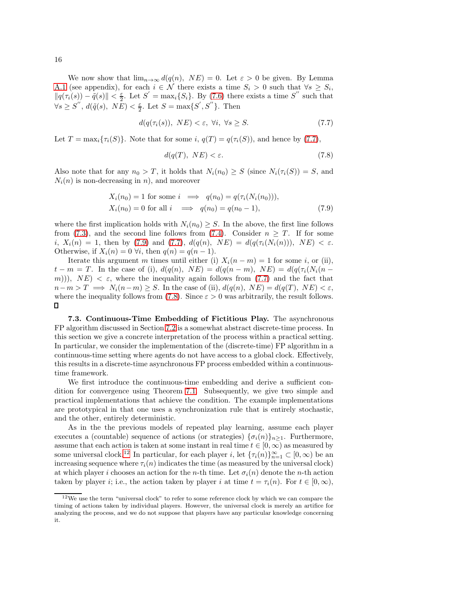We now show that  $\lim_{n\to\infty} d(q(n), NE) = 0$ . Let  $\varepsilon > 0$  be given. By Lemma [A.1](#page-18-9) (see appendix), for each  $i \in \mathcal{N}$  there exists a time  $S_i > 0$  such that  $\forall s \geq S_i$ ,  $||q(\tau_i(s)) - \tilde{q}(s)|| < \frac{\varepsilon}{2}$ . Let  $S' = \max_i \{S_i\}$ . By [\(7.6\)](#page-14-1) there exists a time S'' such that  $\forall s \geq S'', d(\tilde{q}(s), N\tilde{E}) < \frac{\varepsilon}{2}$ . Let  $S = \max\{S', S''\}$ . Then

$$
d(q(\tau_i(s)), NE) < \varepsilon, \ \forall i, \ \forall s \ge S. \tag{7.7}
$$

Let  $T = \max_i {\tau_i(S)}$ . Note that for some i,  $q(T) = q(\tau_i(S))$ , and hence by [\(7.7\)](#page-15-1),

<span id="page-15-3"></span><span id="page-15-2"></span><span id="page-15-1"></span>
$$
d(q(T), NE) < \varepsilon. \tag{7.8}
$$

Also note that for any  $n_0 > T$ , it holds that  $N_i(n_0) \geq S$  (since  $N_i(\tau_i(S)) = S$ , and  $N_i(n)$  is non-decreasing in n), and moreover

$$
X_i(n_0) = 1 \text{ for some } i \implies q(n_0) = q(\tau_i(N_i(n_0))),
$$
  
\n
$$
X_i(n_0) = 0 \text{ for all } i \implies q(n_0) = q(n_0 - 1),
$$
\n(7.9)

where the first implication holds with  $N_i(n_0) \geq S$ . In the above, the first line follows from [\(7.3\)](#page-14-2), and the second line follows from [\(7.4\)](#page-14-3). Consider  $n \geq T$ . If for some i,  $X_i(n) = 1$ , then by [\(7.9\)](#page-15-2) and [\(7.7\)](#page-15-1),  $d(q(n), NE) = d(q(\tau_i(N_i(n))), NE) < \varepsilon$ . Otherwise, if  $X_i(n) = 0 \forall i$ , then  $q(n) = q(n-1)$ .

Iterate this argument m times until either (i)  $X_i(n - m) = 1$  for some i, or (ii),  $t - m = T$ . In the case of (i),  $d(q(n), NE) = d(q(n-m), NE) = d(q(\tau_i(N_i(n-m)))$ m))),  $NE$ )  $\lt \varepsilon$ , where the inequality again follows from [\(7.7\)](#page-15-1) and the fact that  $n-m > T \implies N_i(n-m) \geq S$ . In the case of (ii),  $d(q(n), NE) = d(q(T), NE) < \varepsilon$ , where the inequality follows from [\(7.8\)](#page-15-3). Since  $\varepsilon > 0$  was arbitrarily, the result follows.  $\Box$ 

<span id="page-15-0"></span>7.3. Continuous-Time Embedding of Fictitious Play. The asynchronous FP algorithm discussed in Section [7.2](#page-13-0) is a somewhat abstract discrete-time process. In this section we give a concrete interpretation of the process within a practical setting. In particular, we consider the implementation of the (discrete-time) FP algorithm in a continuous-time setting where agents do not have access to a global clock. Effectively, this results in a discrete-time asynchronous FP process embedded within a continuoustime framework.

We first introduce the continuous-time embedding and derive a sufficient condition for convergence using Theorem [7.1.](#page-13-5) Subsequently, we give two simple and practical implementations that achieve the condition. The example implementations are prototypical in that one uses a synchronization rule that is entirely stochastic, and the other, entirely deterministic.

As in the the previous models of repeated play learning, assume each player executes a (countable) sequence of actions (or strategies)  $\{\sigma_i(n)\}_{n\geq 1}$ . Furthermore, assume that each action is taken at some instant in real time  $t \in [0, \infty)$  as measured by some universal clock.<sup>[12](#page-15-4)</sup> In particular, for each player *i*, let  ${\lbrace \tau_i(n) \rbrace}_{n=1}^{\infty} \subset [0, \infty)$  be an increasing sequence where  $\tau_i(n)$  indicates the time (as measured by the universal clock) at which player i chooses an action for the n-th time. Let  $\sigma_i(n)$  denote the n-th action taken by player *i*; i.e., the action taken by player *i* at time  $t = \tau_i(n)$ . For  $t \in [0, \infty)$ ,

<span id="page-15-4"></span><sup>12</sup>We use the term "universal clock" to refer to some reference clock by which we can compare the timing of actions taken by individual players. However, the universal clock is merely an artifice for analyzing the process, and we do not suppose that players have any particular knowledge concerning it.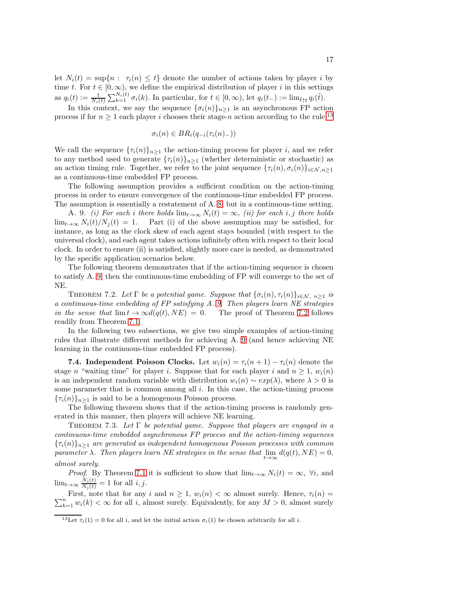let  $N_i(t) = \sup\{n : \tau_i(n) \leq t\}$  denote the number of actions taken by player i by time t. For  $t \in [0, \infty)$ , we define the empirical distribution of player i in this settings as  $q_i(t) := \frac{1}{N_i(t)} \sum_{k=1}^{N_i(t)} \sigma_i(k)$ . In particular, for  $t \in [0, \infty)$ , let  $q_i(t_-) := \lim_{\tilde{t} \uparrow t} q_i(\tilde{t})$ .

In this context, we say the sequence  $\{\sigma_i(n)\}_{n\geq 1}$  is an asynchronous FP action process if for  $n \geq 1$  each player i chooses their stage-n action according to the rule:<sup>[13](#page-16-0)</sup>

<span id="page-16-1"></span>
$$
\sigma_i(n) \in BR_i(q_{-i}(\tau_i(n)_{-}))
$$

We call the sequence  $\{\tau_i(n)\}_{n\geq 1}$  the action-timing process for player i, and we refer to any method used to generate  $\{\tau_i(n)\}_{n\geq 1}$  (whether deterministic or stochastic) as an action timing rule. Together, we refer to the joint sequence  $\{\tau_i(n), \sigma_i(n)\}_{i \in \mathcal{N}, n \geq 1}$ as a continuous-time embedded FP process.

The following assumption provides a sufficient condition on the action-timing process in order to ensure convergence of the continuous-time embedded FP process. The assumption is essentially a restatement of A. [8,](#page-13-4) but in a continuous-time setting.

A. 9. (i) For each i there holds  $\lim_{t\to\infty} N_i(t) = \infty$ , (ii) for each i, j there holds  $\lim_{t\to\infty} N_i(t)/N_i(t) = 1.$  Part (i) of the above assumption may be satisfied, for instance, as long as the clock skew of each agent stays bounded (with respect to the universal clock), and each agent takes actions infinitely often with respect to their local clock. In order to ensure (ii) is satisfied, slightly more care is needed, as demonstrated by the specific application scenarios below.

The following theorem demonstrates that if the action-timing sequence is chosen to satisfy A. [9,](#page-16-1) then the continuous-time embedding of FP will converge to the set of NE.

<span id="page-16-2"></span>THEOREM 7.2. Let  $\Gamma$  be a potential game. Suppose that  $\{\sigma_i(n), \tau_i(n)\}_{i \in \mathcal{N}, n \geq 1}$  is a continuous-time embedding of FP satisfying A. [9.](#page-16-1) Then players learn NE strategies in the sense that  $\lim_{t \to \infty} t \to \infty d(q(t), NE) = 0$ . The proof of Theorem [7.2](#page-16-2) follows readily from Theorem [7.1.](#page-13-5)

In the following two subsections, we give two simple examples of action-timing rules that illustrate different methods for achieving A. [9](#page-16-1) (and hence achieving NE learning in the continuous-time embedded FP process).

**7.4. Independent Poisson Clocks.** Let  $w_i(n) = \tau_i(n+1) - \tau_i(n)$  denote the stage n "waiting time" for player i. Suppose that for each player i and  $n \geq 1$ ,  $w_i(n)$ is an independent random variable with distribution  $w_i(n) \sim exp(\lambda)$ , where  $\lambda > 0$  is some parameter that is common among all  $i$ . In this case, the action-timing process  ${\lbrace \tau_i(n) \rbrace_{n \geq 1}}$  is said to be a homogenous Poisson process.

The following theorem shows that if the action-timing process is randomly generated in this manner, then players will achieve NE learning.

THEOREM 7.3. Let  $\Gamma$  be potential game. Suppose that players are engaged in a continuous-time embedded asynchronous FP process and the action-timing sequences  ${\lbrace \tau_i(n) \rbrace_{n>1}}$  are generated as independent homogenous Poisson processes with common parameter  $\lambda$ . Then players learn NE strategies in the sense that  $\lim_{t\to\infty} d(q(t), NE) = 0$ , almost surely.

*Proof.* By Theorem [7.1](#page-13-5) it is sufficient to show that  $\lim_{t\to\infty} N_i(t) = \infty$ ,  $\forall i$ , and  $\lim_{t\to\infty} \frac{N_i(t)}{N_j(t)} = 1$  for all  $i, j$ .

 $\sum_{k=1}^{n} w_i(k) < \infty$  for all i, almost surely. Equivalently, for any  $M > 0$ , almost surely First, note that for any i and  $n \geq 1$ ,  $w_i(n) < \infty$  almost surely. Hence,  $\tau_i(n) =$ 

<span id="page-16-0"></span> $\frac{13\text{Let } \tau_i(1) = 0 \text{ for all } i, \text{ and let the initial action } \sigma_i(1)$  be chosen arbitrarily for all i.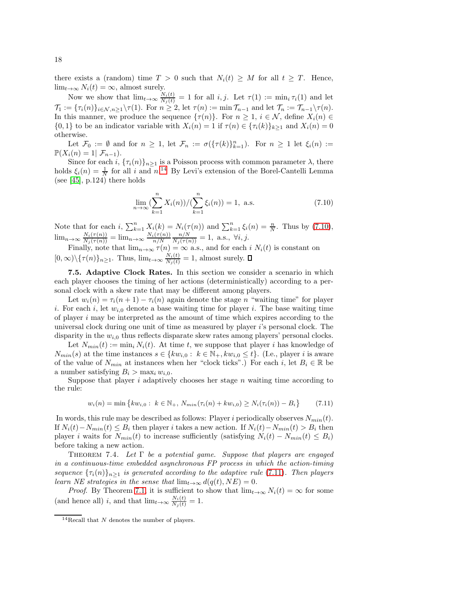there exists a (random) time  $T > 0$  such that  $N_i(t) \geq M$  for all  $t \geq T$ . Hence,  $\lim_{t\to\infty} N_i(t) = \infty$ , almost surely.

Now we show that  $\lim_{t\to\infty}\frac{N_i(t)}{N_j(t)}=1$  for all  $i, j$ . Let  $\tau(1):=\min_i\tau_i(1)$  and let  $\mathcal{T}_1 := \{\tau_i(n)\}_{i \in \mathcal{N}, n \geq 1} \setminus \tau(1)$ . For  $n \geq 2$ , let  $\tau(n) := \min \mathcal{T}_{n-1}$  and let  $\mathcal{T}_n := \mathcal{T}_{n-1} \setminus \tau(n)$ . In this manner, we produce the sequence  $\{\tau(n)\}\$ . For  $n \geq 1$ ,  $i \in \mathcal{N}$ , define  $X_i(n) \in \mathcal{N}$  $\{0,1\}$  to be an indicator variable with  $X_i(n) = 1$  if  $\tau(n) \in \{\tau_i(k)\}_{k>1}$  and  $X_i(n) = 0$ otherwise.

Let  $\mathcal{F}_0 := \emptyset$  and for  $n \geq 1$ , let  $\mathcal{F}_n := \sigma(\{\tau(k)\}_{k=1}^n)$ . For  $n \geq 1$  let  $\xi_i(n) :=$  $\mathbb{P}(X_i(n) = 1 | \mathcal{F}_{n-1}).$ 

Since for each i,  $\{\tau_i(n)\}_{n>1}$  is a Poisson process with common parameter  $\lambda$ , there holds  $\xi_i(n) = \frac{1}{N}$  for all i and  $n^{14}$  $n^{14}$  $n^{14}$  By Levi's extension of the Borel-Cantelli Lemma (see  $[45]$ , p.124) there holds

<span id="page-17-2"></span>
$$
\lim_{n \to \infty} \left(\sum_{k=1}^{n} X_i(n)\right) / \left(\sum_{k=1}^{n} \xi_i(n)\right) = 1, \text{ a.s.}
$$
\n(7.10)

Note that for each i,  $\sum_{k=1}^{n} X_i(k) = N_i(\tau(n))$  and  $\sum_{k=1}^{n} \xi_i(n) = \frac{n}{N}$ . Thus by [\(7.10\)](#page-17-2),  $\lim_{n\to\infty}\frac{N_i(\tau(n))}{N_j(\tau(n))} = \lim_{n\to\infty}\frac{N_i(\tau(n))}{n/N}$  $\frac{n/N}{N_j(\tau(n))} = 1$ , a.s.,  $\forall i, j$ .

Finally, note that  $\lim_{n\to\infty} \tau(n) = \infty$  a.s., and for each i  $N_i(t)$  is constant on  $[0, \infty) \setminus {\{\tau(n)\}_n \geq 1}$ . Thus,  $\lim_{t \to \infty} \frac{N_i(t)}{N_i(t)} = 1$ , almost surely.

<span id="page-17-0"></span>7.5. Adaptive Clock Rates. In this section we consider a scenario in which each player chooses the timing of her actions (deterministically) according to a personal clock with a skew rate that may be different among players.

Let  $w_i(n) = \tau_i(n+1) - \tau_i(n)$  again denote the stage n "waiting time" for player i. For each i, let  $w_{i,0}$  denote a base waiting time for player i. The base waiting time of player i may be interpreted as the amount of time which expires according to the universal clock during one unit of time as measured by player i's personal clock. The disparity in the  $w_{i,0}$  thus reflects disparate skew rates among players' personal clocks.

Let  $N_{min}(t) := \min_i N_i(t)$ . At time t, we suppose that player i has knowledge of  $N_{min}(s)$  at the time instances  $s \in \{kw_{i,0}: k \in \mathbb{N}_+, kw_{i,0} \leq t\}$ . (I.e., player i is aware of the value of  $N_{min}$  at instances when her "clock ticks".) For each i, let  $B_i \in \mathbb{R}$  be a number satisfying  $B_i > \max_i w_{i,0}$ .

Suppose that player i adaptively chooses her stage n waiting time according to the rule:

<span id="page-17-3"></span>
$$
w_i(n) = \min \left\{ k w_{i,0} : k \in \mathbb{N}_+, N_{min}(\tau_i(n) + k w_{i,0}) \ge N_i(\tau_i(n)) - B_i \right\}
$$
 (7.11)

In words, this rule may be described as follows: Player i periodically observes  $N_{min}(t)$ . If  $N_i(t) - N_{min}(t) \leq B_i$  then player i takes a new action. If  $N_i(t) - N_{min}(t) > B_i$  then player i waits for  $N_{min}(t)$  to increase sufficiently (satisfying  $N_i(t) - N_{min}(t) \leq B_i$ ) before taking a new action.

THEOREM 7.4. Let  $\Gamma$  be a potential game. Suppose that players are engaged in a continuous-time embedded asynchronous FP process in which the action-timing sequence  $\{\tau_i(n)\}_{n>1}$  is generated according to the adaptive rule [\(7.11\)](#page-17-3). Then players learn NE strategies in the sense that  $\lim_{t\to\infty} d(q(t), NE) = 0$ .

*Proof.* By Theorem [7.1,](#page-13-5) it is sufficient to show that  $\lim_{t\to\infty} N_i(t) = \infty$  for some (and hence all) *i*, and that  $\lim_{t\to\infty} \frac{N_i(t)}{N_j(t)} = 1$ .

<span id="page-17-1"></span><sup>&</sup>lt;sup>14</sup>Recall that  $N$  denotes the number of players.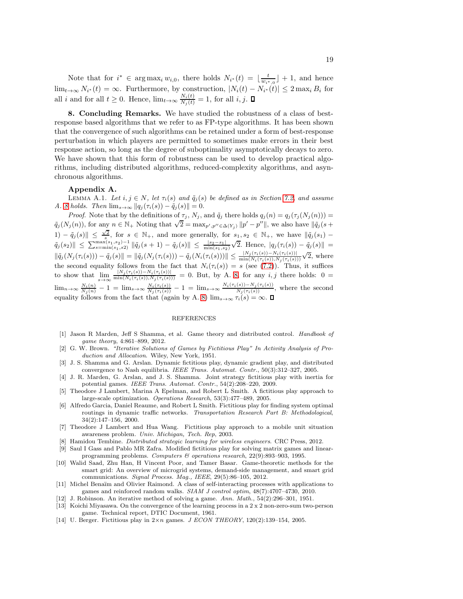Note that for  $i^* \in \arg \max_i w_{i,0}$ , there holds  $N_{i^*}(t) = \lfloor \frac{t}{w_{i^*,0}} \rfloor + 1$ , and hence  $\lim_{t\to\infty} N_{i^*}(t) = \infty$ . Furthermore, by construction,  $|N_i(t) - N_{i^*}(t)| \leq 2 \max_i B_i$  for all i and for all  $t \geq 0$ . Hence,  $\lim_{t \to \infty} \frac{N_i(t)}{N_j(t)} = 1$ , for all i, j.

<span id="page-18-6"></span>8. Concluding Remarks. We have studied the robustness of a class of bestresponse based algorithms that we refer to as FP-type algorithms. It has been shown that the convergence of such algorithms can be retained under a form of best-response perturbation in which players are permitted to sometimes make errors in their best response action, so long as the degree of suboptimality asymptotically decays to zero. We have shown that this form of robustness can be used to develop practical algorithms, including distributed algorithms, reduced-complexity algorithms, and asynchronous algorithms.

### <span id="page-18-9"></span>Appendix A.

LEMMA A.1. Let  $i, j \in N$ , let  $\tau_i(s)$  and  $\tilde{q}_j(s)$  be defined as in Section [7.2,](#page-13-0) and assume A. [8](#page-13-4) holds. Then  $\lim_{s\to\infty} ||q_j(\tau_i(s)) - \tilde{q}_j(s)|| = 0.$ 

Proof. Note that by the definitions of  $\tau_j$ ,  $N_j$ , and  $\tilde{q}_j$  there holds  $q_j(n) = q_j(\tau_j(N_j(n))) =$  $\tilde{q}_j(N_j(n))$ , for any  $n \in \mathbb{N}$ + Noting that  $\sqrt{2} = \max_{p',p'' \in \Delta(Y_j)} ||p' - p''||$ , we also have  $||\tilde{q}_j(s +$ 1)  $-\tilde{q}_j(s)\| \leq \frac{\sqrt{2}}{s}$ , for  $s \in \mathbb{N}_+$ , and more generally, for  $s_1, s_2 \in \mathbb{N}_+$ , we have  $\|\tilde{q}_j(s_1) \|\tilde{q}_j(s_2)\| \leq \sum_{s=\min(s_1,s_2)}^{\max(s_1,s_2)-1} \|\tilde{q}_j(s+1) - \tilde{q}_j(s)\| \leq \frac{|s_2-s_1|}{\min(s_1,s_2)}\sqrt{2}.$  Hence,  $|q_j(\tau_i(s)) - \tilde{q}_j(s)| =$  $\|\tilde{q}_j(N_j(\tau_i(s))) - \tilde{q}_j(s)\| = \|\tilde{q}_j(N_j(\tau_i(s))) - \tilde{q}_j(N_i(\tau_i(s)))\| \leq \frac{|N_j(\tau_i(s)) - N_i(\tau_i(s))|}{\min(N_i(\tau_i(s)), N_j(\tau_i(s)))}\sqrt{2},$  where the second equality follows from the fact that  $N_i(\tau_i(s)) = s$  (see [\(7.2\)](#page-14-4)). Thus, it suffices to show that  $\lim_{s\to\infty} \frac{|N_j(\tau_i(s))-N_i(\tau_i(s))|}{\min(N_i(\tau_i(s)),N_j(\tau_i(s)))} = 0$ . But, by A. [8,](#page-13-4) for any *i*, *j* there holds:  $0 =$  $\lim_{n\to\infty}\frac{N_i(n)}{N_j(n)}-1=\lim_{s\to\infty}\frac{N_i(\tau_i(s))}{N_j(\tau_i(s))}-1=\lim_{s\to\infty}\frac{N_i(\tau_i(s))-N_j(\tau_i(s))}{N_j(\tau_i(s))},$  where the second equality follows from the fact that (again by A. [8\)](#page-13-4)  $\lim_{s\to\infty} \tau_i(s) = \infty$ .

## **REFERENCES**

- <span id="page-18-0"></span>[1] Jason R Marden, Jeff S Shamma, et al. Game theory and distributed control. *Handbook of game theory*, 4:861–899, 2012.
- <span id="page-18-1"></span>[2] G. W. Brown. *"Iterative Solutions of Games by Fictitious Play" In Activity Analysis of Production and Allocation*. Wiley, New York, 1951.
- <span id="page-18-2"></span>[3] J. S. Shamma and G. Arslan. Dynamic fictitious play, dynamic gradient play, and distributed convergence to Nash equilibria. *IEEE Trans. Automat. Contr.*, 50(3):312–327, 2005.
- <span id="page-18-7"></span>[4] J. R. Marden, G. Arslan, and J. S. Shamma. Joint strategy fictitious play with inertia for potential games. *IEEE Trans. Automat. Contr.*, 54(2):208–220, 2009.
- <span id="page-18-5"></span>[5] Theodore J Lambert, Marina A Epelman, and Robert L Smith. A fictitious play approach to large-scale optimization. *Operations Research*, 53(3):477–489, 2005.
- [6] Alfredo Garcia, Daniel Reaume, and Robert L Smith. Fictitious play for finding system optimal routings in dynamic traffic networks. *Transportation Research Part B: Methodological*, 34(2):147–156, 2000.
- [7] Theodore J Lambert and Hua Wang. Fictitious play approach to a mobile unit situation awareness problem. *Univ. Michigan, Tech. Rep*, 2003.
- [8] Hamidou Tembine. *Distributed strategic learning for wireless engineers*. CRC Press, 2012.
- [9] Saul I Gass and Pablo MR Zafra. Modified fictitious play for solving matrix games and linearprogramming problems. *Computers & operations research*, 22(9):893–903, 1995.
- [10] Walid Saad, Zhu Han, H Vincent Poor, and Tamer Basar. Game-theoretic methods for the smart grid: An overview of microgrid systems, demand-side management, and smart grid communications. *Signal Process. Mag., IEEE*, 29(5):86–105, 2012.
- <span id="page-18-3"></span>[11] Michel Benaïm and Olivier Raimond. A class of self-interacting processes with applications to games and reinforced random walks. *SIAM J control optim*, 48(7):4707–4730, 2010.
- <span id="page-18-4"></span>[12] J. Robinson. An iterative method of solving a game. *Ann. Math.*, 54(2):296–301, 1951.
- [13] Koichi Miyasawa. On the convergence of the learning process in a 2 x 2 non-zero-sum two-person game. Technical report, DTIC Document, 1961.
- <span id="page-18-8"></span>[14] U. Berger. Fictitious play in 2×n games. *J ECON THEORY*, 120(2):139–154, 2005.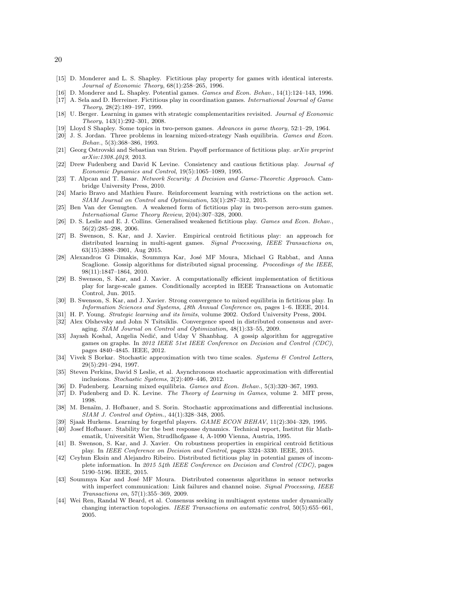- [15] D. Monderer and L. S. Shapley. Fictitious play property for games with identical interests. *Journal of Economic Theory*, 68(1):258–265, 1996.
- [16] D. Monderer and L. Shapley. Potential games. *Games and Econ. Behav.*, 14(1):124–143, 1996.
- [17] A. Sela and D. Herreiner. Fictitious play in coordination games. *International Journal of Game Theory*, 28(2):189–197, 1999.
- <span id="page-19-0"></span>[18] U. Berger. Learning in games with strategic complementarities revisited. *Journal of Economic Theory*, 143(1):292–301, 2008.
- <span id="page-19-2"></span><span id="page-19-1"></span>[19] Lloyd S Shapley. Some topics in two-person games. *Advances in game theory*, 52:1–29, 1964.
- [20] J. S. Jordan. Three problems in learning mixed-strategy Nash equilibria. *Games and Econ. Behav.*, 5(3):368–386, 1993.
- <span id="page-19-3"></span>[21] Georg Ostrovski and Sebastian van Strien. Payoff performance of fictitious play. *arXiv preprint arXiv:1308.4049*, 2013.
- [22] Drew Fudenberg and David K Levine. Consistency and cautious fictitious play. *Journal of Economic Dynamics and Control*, 19(5):1065–1089, 1995.
- <span id="page-19-4"></span>[23] T. Alpcan and T. Basar. *Network Security: A Decision and Game-Theoretic Approach*. Cambridge University Press, 2010.
- <span id="page-19-5"></span>[24] Mario Bravo and Mathieu Faure. Reinforcement learning with restrictions on the action set. *SIAM Journal on Control and Optimization*, 53(1):287–312, 2015.
- <span id="page-19-6"></span>[25] Ben Van der Genugten. A weakened form of fictitious play in two-person zero-sum games. *International Game Theory Review*, 2(04):307–328, 2000.
- <span id="page-19-7"></span>[26] D. S. Leslie and E. J. Collins. Generalised weakened fictitious play. *Games and Econ. Behav.*, 56(2):285–298, 2006.
- <span id="page-19-8"></span>[27] B. Swenson, S. Kar, and J. Xavier. Empirical centroid fictitious play: an approach for distributed learning in multi-agent games. *Signal Processing, IEEE Transactions on*, 63(15):3888–3901, Aug 2015.
- <span id="page-19-14"></span>[28] Alexandros G Dimakis, Soummya Kar, José MF Moura, Michael G Rabbat, and Anna Scaglione. Gossip algorithms for distributed signal processing. *Proceedings of the IEEE*, 98(11):1847–1864, 2010.
- <span id="page-19-9"></span>[29] B. Swenson, S. Kar, and J. Xavier. A computationally efficient implementation of fictitious play for large-scale games. Conditionally accepted in IEEE Transactions on Automatic Control, Jun. 2015.
- <span id="page-19-10"></span>[30] B. Swenson, S. Kar, and J. Xavier. Strong convergence to mixed equilibria in fictitious play. In *Information Sciences and Systems, 48th Annual Conference on*, pages 1–6. IEEE, 2014.
- <span id="page-19-12"></span><span id="page-19-11"></span>[31] H. P. Young. *Strategic learning and its limits*, volume 2002. Oxford University Press, 2004.
- [32] Alex Olshevsky and John N Tsitsiklis. Convergence speed in distributed consensus and averaging. *SIAM Journal on Control and Optimization*, 48(1):33–55, 2009.
- <span id="page-19-20"></span>[33] Jayash Koshal, Angelia Nedić, and Uday V Shanbhag. A gossip algorithm for aggregative games on graphs. In *2012 IEEE 51st IEEE Conference on Decision and Control (CDC)*, pages 4840–4845. IEEE, 2012.
- [34] Vivek S Borkar. Stochastic approximation with two time scales. *Systems & Control Letters*, 29(5):291–294, 1997.
- <span id="page-19-24"></span>[35] Steven Perkins, David S Leslie, et al. Asynchronous stochastic approximation with differential inclusions. *Stochastic Systems*, 2(2):409–446, 2012.
- <span id="page-19-15"></span><span id="page-19-13"></span>[36] D. Fudenberg. Learning mixed equilibria. *Games and Econ. Behav.*, 5(3):320–367, 1993.
- <span id="page-19-16"></span>[37] D. Fudenberg and D. K. Levine. *The Theory of Learning in Games*, volume 2. MIT press, 1998.
- [38] M. Benaïm, J. Hofbauer, and S. Sorin. Stochastic approximations and differential inclusions. *SIAM J. Control and Optim.*, 44(1):328–348, 2005.
- <span id="page-19-18"></span><span id="page-19-17"></span>[39] Sjaak Hurkens. Learning by forgetful players. *GAME ECON BEHAV*, 11(2):304–329, 1995.
- [40] Josef Hofbauer. Stability for the best response dynamics. Technical report, Institut für Mathematik, Universität Wien, Strudlhofgasse 4, A-1090 Vienna, Austria, 1995.
- <span id="page-19-19"></span>[41] B. Swenson, S. Kar, and J. Xavier. On robustness properties in empirical centroid fictitious play. In *IEEE Conference on Decision and Control*, pages 3324–3330. IEEE, 2015.
- <span id="page-19-21"></span>[42] Ceyhun Eksin and Alejandro Ribeiro. Distributed fictitious play in potential games of incomplete information. In *2015 54th IEEE Conference on Decision and Control (CDC)*, pages 5190–5196. IEEE, 2015.
- <span id="page-19-22"></span>[43] Soummya Kar and José MF Moura. Distributed consensus algorithms in sensor networks with imperfect communication: Link failures and channel noise. *Signal Processing, IEEE Transactions on*, 57(1):355–369, 2009.
- <span id="page-19-23"></span>[44] Wei Ren, Randal W Beard, et al. Consensus seeking in multiagent systems under dynamically changing interaction topologies. *IEEE Transactions on automatic control*, 50(5):655–661, 2005.